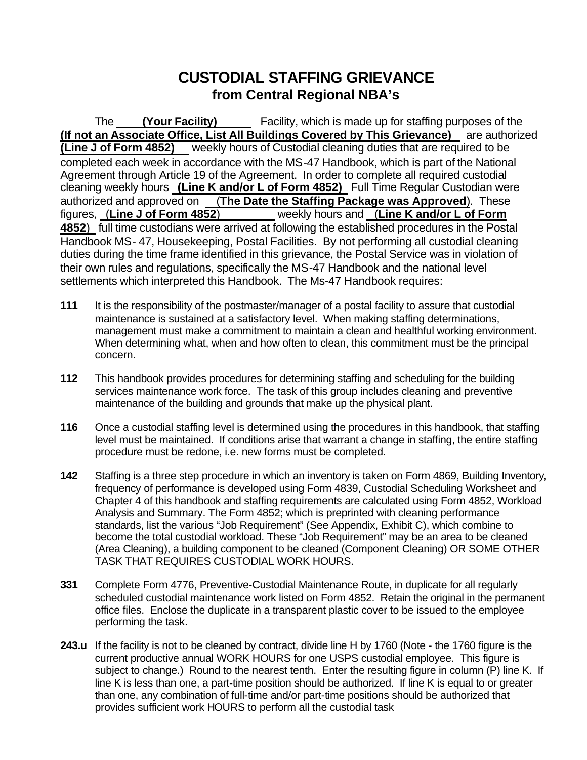# **CUSTODIAL STAFFING GRIEVANCE from Central Regional NBA's**

<span id="page-0-0"></span>The **(Your Facility)** Facility, which is made up for staffing purposes of the **(If not an Associate Office, List All Buildings Covered by This Grievance)** are authorized **(Line J of Form 4852)** weekly hours of Custodial cleaning duties that are required to be completed each week in accordance with the MS-47 Handbook, which is part of the National Agreement through Article 19 of the Agreement. In order to complete all required custodial cleaning weekly hours **(Line K and/or L of Form 4852)** Full Time Regular Custodian were authorized and approved on (**The Date the Staffing Package was Approved**). These figures, (**Line J of Form 4852**) weekly hours and (**Line K and/or L of Form 4852**) full time custodians were arrived at following the established procedures in the Postal Handbook MS- 47, Housekeeping, Postal Facilities. By not performing all custodial cleaning duties during the time frame identified in this grievance, the Postal Service was in violation of their own rules and regulations, specifically the MS-47 Handbook and the national level settlements which interpreted this Handbook. The Ms-47 Handbook requires:

- **111** It is the responsibility of the postmaster/manager of a postal facility to assure that custodial maintenance is sustained at a satisfactory level. When making staffing determinations, management must make a commitment to maintain a clean and healthful working environment. When determining what, when and how often to clean, this commitment must be the principal concern.
- **112** This handbook provides procedures for determining staffing and scheduling for the building services maintenance work force. The task of this group includes cleaning and preventive maintenance of the building and grounds that make up the physical plant.
- **116** Once a custodial staffing level is determined using the procedures in this handbook, that staffing level must be maintained. If conditions arise that warrant a change in staffing, the entire staffing procedure must be redone, i.e. new forms must be completed.
- **142** Staffing is a three step procedure in which an inventory is taken on Form 4869, Building Inventory, frequency of performance is developed using Form 4839, Custodial Scheduling Worksheet and Chapter 4 of this handbook and staffing requirements are calculated using Form 4852, Workload Analysis and Summary. The Form 4852; which is preprinted with cleaning performance standards, list the various "Job Requirement" (See Appendix, Exhibit C), which combine to become the total custodial workload. These "Job Requirement" may be an area to be cleaned (Area Cleaning), a building component to be cleaned (Component Cleaning) OR SOME OTHER TASK THAT REQUIRES CUSTODIAL WORK HOURS.
- **331** Complete Form 4776, Preventive-Custodial Maintenance Route, in duplicate for all regularly scheduled custodial maintenance work listed on Form 4852. Retain the original in the permanent office files. Enclose the duplicate in a transparent plastic cover to be issued to the employee performing the task.
- **243.u** If the facility is not to be cleaned by contract, divide line H by 1760 (Note the 1760 figure is the current productive annual WORK HOURS for one USPS custodial employee. This figure is subject to change.) Round to the nearest tenth. Enter the resulting figure in column (P) line K. If line K is less than one, a part-time position should be authorized. If line K is equal to or greater than one, any combination of full-time and/or part-time positions should be authorized that provides sufficient work HOURS to perform all the custodial task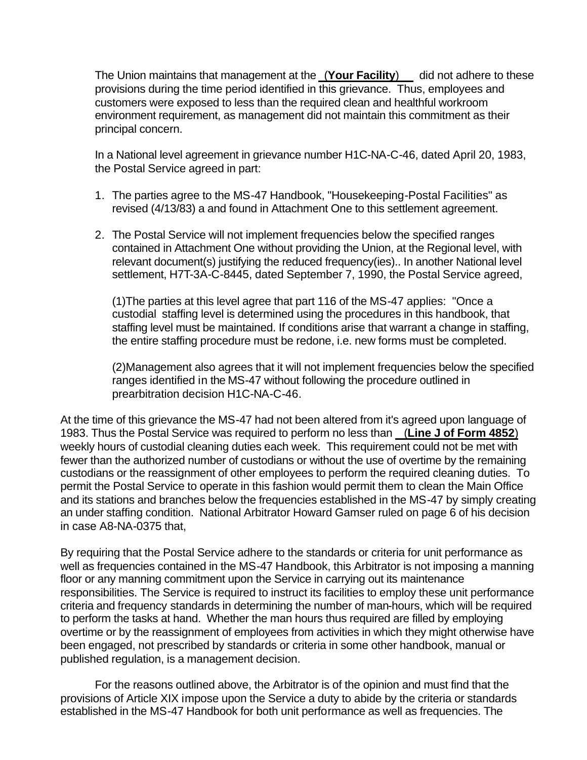The Union maintains that management at the **(Your Facility)** did not adhere to these provisions during the time period identified in this grievance. Thus, employees and customers were exposed to less than the required clean and healthful workroom environment requirement, as management did not maintain this commitment as their principal concern.

In a National level agreement in grievance number H1C-NA-C-46, dated April 20, 1983, the Postal Service agreed in part:

- 1. The parties agree to the MS-47 Handbook, "Housekeeping-Postal Facilities" as revised (4/13/83) a and found in Attachment One to this settlement agreement.
- 2. The Postal Service will not implement frequencies below the specified ranges contained in Attachment One without providing the Union, at the Regional level, with relevant document(s) justifying the reduced frequency(ies).. In another National level settlement, H7T-3A-C-8445, dated September 7, 1990, the Postal Service agreed,

(1)The parties at this level agree that part 116 of the MS-47 applies: "Once a custodial staffing level is determined using the procedures in this handbook, that staffing level must be maintained. If conditions arise that warrant a change in staffing, the entire staffing procedure must be redone, i.e. new forms must be completed.

(2)Management also agrees that it will not implement frequencies below the specified ranges identified in the MS-47 without following the procedure outlined in prearbitration decision H1C-NA-C-46.

At the time of this grievance the MS-47 had not been altered from it's agreed upon language of 1983. Thus the Postal Service was required to perform no less than (**Line J of Form 4852**) weekly hours of custodial cleaning duties each week. This requirement could not be met with fewer than the authorized number of custodians or without the use of overtime by the remaining custodians or the reassignment of other employees to perform the required cleaning duties. To permit the Postal Service to operate in this fashion would permit them to clean the Main Office and its stations and branches below the frequencies established in the MS-47 by simply creating an under staffing condition. National Arbitrator Howard Gamser ruled on page 6 of his decision in case A8-NA-0375 that,

By requiring that the Postal Service adhere to the standards or criteria for unit performance as well as frequencies contained in the MS-47 Handbook, this Arbitrator is not imposing a manning floor or any manning commitment upon the Service in carrying out its maintenance responsibilities. The Service is required to instruct its facilities to employ these unit performance criteria and frequency standards in determining the number of man-hours, which will be required to perform the tasks at hand. Whether the man hours thus required are filled by employing overtime or by the reassignment of employees from activities in which they might otherwise have been engaged, not prescribed by standards or criteria in some other handbook, manual or published regulation, is a management decision.

For the reasons outlined above, the Arbitrator is of the opinion and must find that the provisions of Article XIX impose upon the Service a duty to abide by the criteria or standards established in the MS-47 Handbook for both unit performance as well as frequencies. The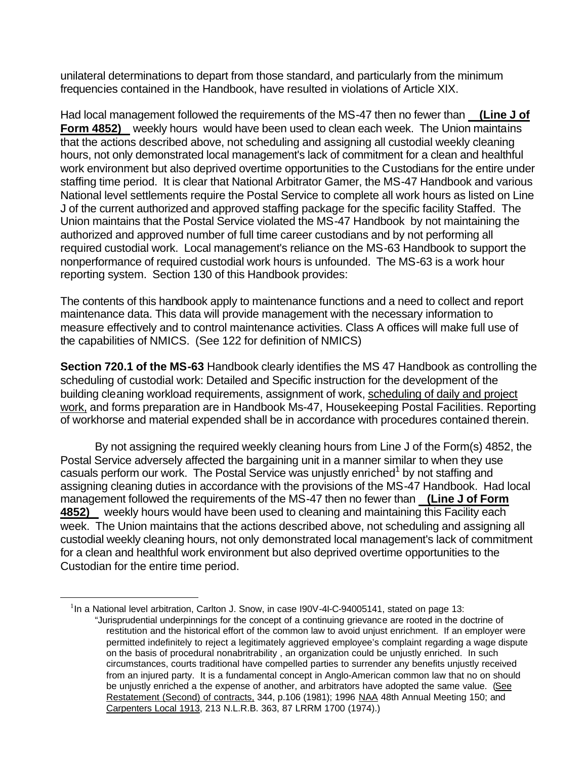unilateral determinations to depart from those standard, and particularly from the minimum frequencies contained in the Handbook, have resulted in violations of Article XIX.

Had local management followed the requirements of the MS-47 then no fewer than **(Line J of Form 4852)** weekly hours would have been used to clean each week. The Union maintains that the actions described above, not scheduling and assigning all custodial weekly cleaning hours, not only demonstrated local management's lack of commitment for a clean and healthful work environment but also deprived overtime opportunities to the Custodians for the entire under staffing time period. It is clear that National Arbitrator Gamer, the MS-47 Handbook and various National level settlements require the Postal Service to complete all work hours as listed on Line J of the current authorized and approved staffing package for the specific facility Staffed. The Union maintains that the Postal Service violated the MS-47 Handbook by not maintaining the authorized and approved number of full time career custodians and by not performing all required custodial work. Local management's reliance on the MS-63 Handbook to support the nonperformance of required custodial work hours is unfounded. The MS-63 is a work hour reporting system. Section 130 of this Handbook provides:

The contents of this handbook apply to maintenance functions and a need to collect and report maintenance data. This data will provide management with the necessary information to measure effectively and to control maintenance activities. Class A offices will make full use of the capabilities of NMICS. (See 122 for definition of NMICS)

**Section 720.1 of the MS-63** Handbook clearly identifies the MS 47 Handbook as controlling the scheduling of custodial work: Detailed and Specific instruction for the development of the building cleaning workload requirements, assignment of work, scheduling of daily and project work, and forms preparation are in Handbook Ms-47, Housekeeping Postal Facilities. Reporting of workhorse and material expended shall be in accordance with procedures contained therein.

By not assigning the required weekly cleaning hours from Line J of the Form(s) 4852, the Postal Service adversely affected the bargaining unit in a manner similar to when they use casuals perform our work. The Postal Service was unjustly enriched<sup>1</sup> by not staffing and assigning cleaning duties in accordance with the provisions of the MS-47 Handbook. Had local management followed the requirements of the MS-47 then no fewer than **(Line J of Form 4852)** weekly hours would have been used to cleaning and maintaining this Facility each week. The Union maintains that the actions described above, not scheduling and assigning all custodial weekly cleaning hours, not only demonstrated local management's lack of commitment for a clean and healthful work environment but also deprived overtime opportunities to the Custodian for the entire time period.

 $\overline{a}$ 

 $1$ In a National level arbitration, Carlton J. Snow, in case I90V-4I-C-94005141, stated on page 13: "Jurisprudential underpinnings for the concept of a continuing grievance are rooted in the doctrine of restitution and the historical effort of the common law to avoid unjust enrichment. If an employer were permitted indefinitely to reject a legitimately aggrieved employee's complaint regarding a wage dispute on the basis of procedural nonabritrability , an organization could be unjustly enriched. In such circumstances, courts traditional have compelled parties to surrender any benefits unjustly received from an injured party. It is a fundamental concept in Anglo-American common law that no on should be unjustly enriched a the expense of another, and arbitrators have adopted the same value. (See Restatement (Second) of contracts, 344, p.106 (1981); 1996 NAA 48th Annual Meeting 150; and Carpenters Local 1913, 213 N.L.R.B. 363, 87 LRRM 1700 (1974).)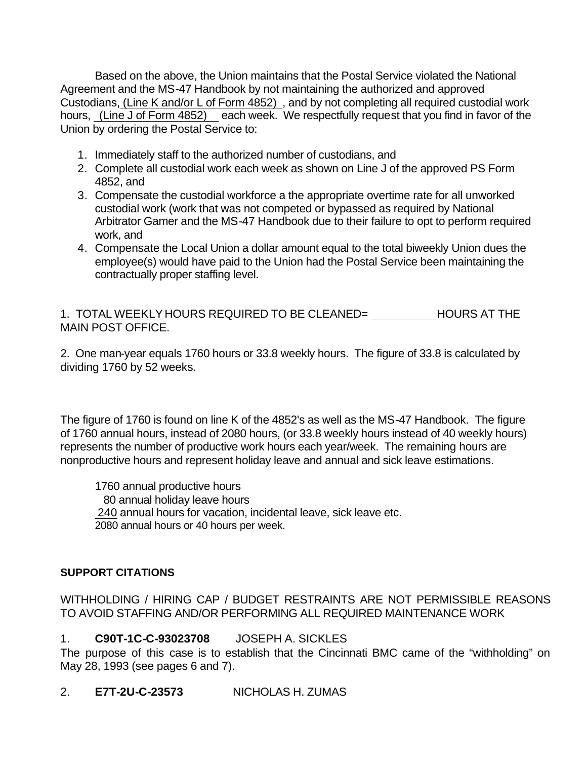Based on the above, the Union maintains that the Postal Service violated the National Agreement and the MS-47 Handbook by not maintaining the authorized and approved Custodians, (Line K and/or L of Form 4852) , and by not completing all required custodial work hours, (Line J of Form 4852) each week. We respectfully request that you find in favor of the Union by ordering the Postal Service to:

- 1. Immediately staff to the authorized number of custodians, and
- 2. Complete all custodial work each week as shown on Line J of the approved PS Form 4852, and
- 3. Compensate the custodial workforce a the appropriate overtime rate for all unworked custodial work (work that was not competed or bypassed as required by National Arbitrator Gamer and the MS-47 Handbook due to their failure to opt to perform required work, and
- 4. Compensate the Local Union a dollar amount equal to the total biweekly Union dues the employee(s) would have paid to the Union had the Postal Service been maintaining the contractually proper staffing level.

1. TOTAL WEEKLY HOURS REQUIRED TO BE CLEANED= HOURS AT THE MAIN POST OFFICE.

2. One man-year equals 1760 hours or 33.8 weekly hours. The figure of 33.8 is calculated by dividing 1760 by 52 weeks.

The figure of 1760 is found on line K of the 4852's as well as the MS-47 Handbook. The figure of 1760 annual hours, instead of 2080 hours, (or 33.8 weekly hours instead of 40 weekly hours) represents the number of productive work hours each year/week. The remaining hours are nonproductive hours and represent holiday leave and annual and sick leave estimations.

1760 annual productive hours 80 annual holiday leave hours 240 annual hours for vacation, incidental leave, sick leave etc. 2080 annual hours or 40 hours per week.

# **SUPPORT CITATIONS**

WITHHOLDING / HIRING CAP / BUDGET RESTRAINTS ARE NOT PERMISSIBLE REASONS TO AVOID STAFFING AND/OR PERFORMING ALL REQUIRED MAINTENANCE WORK

# 1. **C90T-1C-C-93023708** JOSEPH A. SICKLES

The purpose of this case is to establish that the Cincinnati BMC came of the "withholding" on May 28, 1993 (see pages 6 and 7).

# 2. **E7T-2U-C-23573** NICHOLAS H. ZUMAS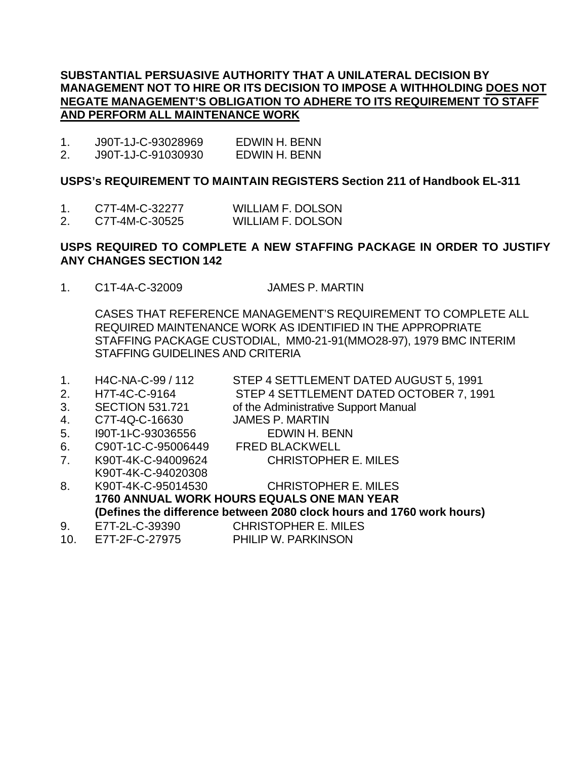### **SUBSTANTIAL PERSUASIVE AUTHORITY THAT A UNILATERAL DECISION BY MANAGEMENT NOT TO HIRE OR ITS DECISION TO IMPOSE A WITHHOLDING DOES NOT NEGATE MANAGEMENT'S OBLIGATION TO ADHERE TO ITS REQUIREMENT TO STAFF AND PERFORM ALL MAINTENANCE WORK**

1. J90T-1J-C-93028969 EDWIN H. BENN 2. J90T-1J-C-91030930 EDWIN H. BENN

### **USPS's REQUIREMENT TO MAINTAIN REGISTERS Section 211 of Handbook EL-311**

- 1. C7T-4M-C-32277 WILLIAM F. DOLSON
- 2. C7T-4M-C-30525 WILLIAM F. DOLSON

## **USPS REQUIRED TO COMPLETE A NEW STAFFING PACKAGE IN ORDER TO JUSTIFY ANY CHANGES SECTION 142**

1. C1T-4A-C-32009 JAMES P. MARTIN

CASES THAT REFERENCE MANAGEMENT'S REQUIREMENT TO COMPLETE ALL REQUIRED MAINTENANCE WORK AS IDENTIFIED IN THE APPROPRIATE STAFFING PACKAGE CUSTODIAL, MM0-21-91(MMO28-97), 1979 BMC INTERIM STAFFING GUIDELINES AND CRITERIA

- 1. H4C-NA-C-99 / 112 STEP 4 SETTLEMENT DATED AUGUST 5, 1991
- 2. H7T-4C-C-9164 STEP 4 SETTLEMENT DATED OCTOBER 7, 1991
- 3. SECTION 531.721 of the Administrative Support Manual
- 4. C7T-4Q-C-16630 JAMES P. MARTIN
- 5. I90T-1I-C-93036556 EDWIN H. BENN
- 6. C90T-1C-C-95006449 FRED BLACKWELL
- 7. K90T-4K-C-94009624 CHRISTOPHER E. MILES
- K90T-4K-C-94020308
- 8. K90T-4K-C-95014530 CHRISTOPHER E. MILES **1760 ANNUAL WORK HOURS EQUALS ONE MAN YEAR (Defines the difference between 2080 clock hours and 1760 work hours)**
- 9. E7T-2L-C-39390 CHRISTOPHER E. MILES
- 10. E7T-2F-C-27975 PHILIP W. PARKINSON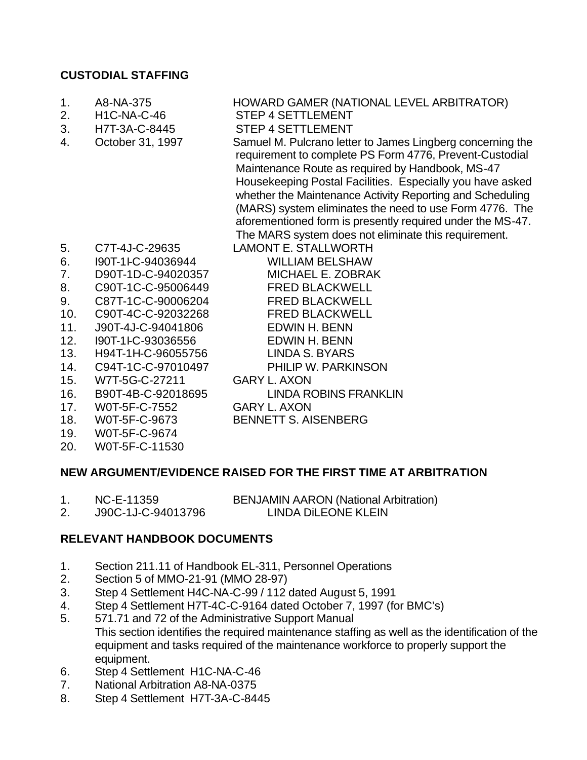# **CUSTODIAL STAFFING**

- 1. A8-NA-375 HOWARD GAMER (NATIONAL LEVEL ARBITRATOR) 2. H1C-NA-C-46 STEP 4 SETTLEMENT 3. H7T-3A-C-8445 STEP 4 SETTLEMENT<br>4. October 31, 1997 Samuel M. Pulcrano lette 4. October 31, 1997 Samuel M. Pulcrano letter to James Lingberg concerning the requirement to complete PS Form 4776, Prevent-Custodial Maintenance Route as required by Handbook, MS-47 Housekeeping Postal Facilities. Especially you have asked whether the Maintenance Activity Reporting and Scheduling (MARS) system eliminates the need to use Form 4776. The aforementioned form is presently required under the MS-47. The MARS system does not eliminate this requirement. 5. C7T-4J-C-29635 LAMONT E. STALLWORTH 6. I90T-1I-C-94036944 WILLIAM BELSHAW
- 7. D90T-1D-C-94020357 MICHAEL E. ZOBRAK
- 8. C90T-1C-C-95006449 FRED BLACKWELL
- 9. C87T-1C-C-90006204 FRED BLACKWELL
- 10. C90T-4C-C-92032268 FRED BLACKWELL
- 11. J90T-4J-C-94041806 EDWIN H. BENN
- 12. I90T-1I-C-93036556 EDWIN H. BENN
- 13. H94T-1H-C-96055756 LINDA S. BYARS
- 14. C94T-1C-C-97010497 PHILIP W. PARKINSON
- 15. W7T-5G-C-27211 GARY L. AXON
- 16. B90T-4B-C-92018695 LINDA ROBINS FRANKLIN
- 17. W0T-5F-C-7552 GARY L. AXON
- 18. W0T-5F-C-9673 BENNETT S. AISENBERG
- 19. W0T-5F-C-9674
- 20. W0T-5F-C-11530

# **NEW ARGUMENT/EVIDENCE RAISED FOR THE FIRST TIME AT ARBITRATION**

1. NC-E-11359 BENJAMIN AARON (National Arbitration) 2. J90C-1J-C-94013796 LINDA DiLEONE KLEIN

# **RELEVANT HANDBOOK DOCUMENTS**

- 1. Section 211.11 of Handbook EL-311, Personnel Operations
- 2. Section 5 of MMO-21-91 (MMO 28-97)
- 3. Step 4 Settlement H4C-NA-C-99 / 112 dated August 5, 1991
- 4. Step 4 Settlement H7T-4C-C-9164 dated October 7, 1997 (for BMC's)
- 5. 571.71 and 72 of the Administrative Support Manual This section identifies the required maintenance staffing as well as the identification of the equipment and tasks required of the maintenance workforce to properly support the equipment.
- 6. Step 4 Settlement H1C-NA-C-46
- 7. National Arbitration A8-NA-0375
- 8. Step 4 Settlement H7T-3A-C-8445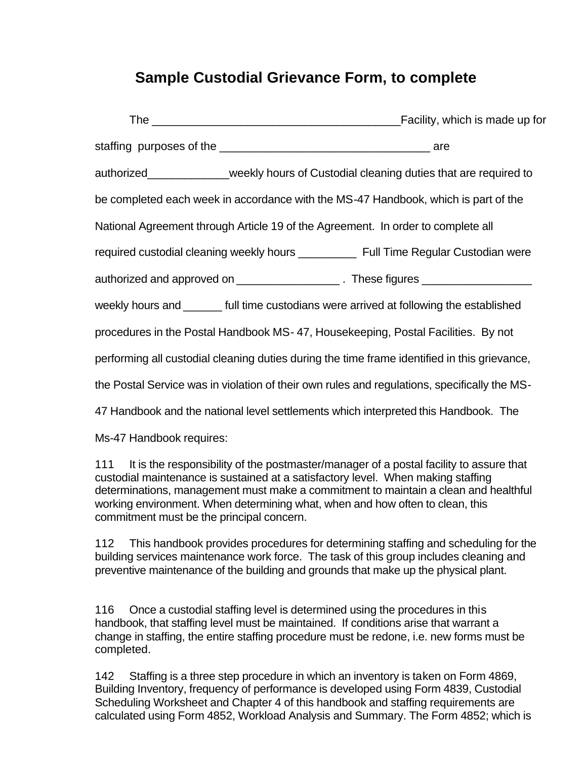# **Sample Custodial Grievance Form, to complete**

|                                                                                                                                                                                                                                                                                                                                                        |  | Facility, which is made up for                                                               |  |
|--------------------------------------------------------------------------------------------------------------------------------------------------------------------------------------------------------------------------------------------------------------------------------------------------------------------------------------------------------|--|----------------------------------------------------------------------------------------------|--|
|                                                                                                                                                                                                                                                                                                                                                        |  |                                                                                              |  |
|                                                                                                                                                                                                                                                                                                                                                        |  | authorized_____________weekly hours of Custodial cleaning duties that are required to        |  |
|                                                                                                                                                                                                                                                                                                                                                        |  | be completed each week in accordance with the MS-47 Handbook, which is part of the           |  |
|                                                                                                                                                                                                                                                                                                                                                        |  | National Agreement through Article 19 of the Agreement. In order to complete all             |  |
|                                                                                                                                                                                                                                                                                                                                                        |  | required custodial cleaning weekly hours _____________ Full Time Regular Custodian were      |  |
|                                                                                                                                                                                                                                                                                                                                                        |  | authorized and approved on ______________________. These figures _______________             |  |
|                                                                                                                                                                                                                                                                                                                                                        |  | weekly hours and ______ full time custodians were arrived at following the established       |  |
|                                                                                                                                                                                                                                                                                                                                                        |  | procedures in the Postal Handbook MS-47, Housekeeping, Postal Facilities. By not             |  |
|                                                                                                                                                                                                                                                                                                                                                        |  | performing all custodial cleaning duties during the time frame identified in this grievance, |  |
|                                                                                                                                                                                                                                                                                                                                                        |  | the Postal Service was in violation of their own rules and regulations, specifically the MS- |  |
|                                                                                                                                                                                                                                                                                                                                                        |  | 47 Handbook and the national level settlements which interpreted this Handbook. The          |  |
| Ms-47 Handbook requires:                                                                                                                                                                                                                                                                                                                               |  |                                                                                              |  |
| 111 It is the responsibility of the postmaster/manager of a postal facility to assure that<br>custodial maintenance is sustained at a satisfactory level. When making staffing<br>determinations, management must make a commitment to maintain a clean and healthful<br>working environment. When determining what, when and how often to clean, this |  |                                                                                              |  |

112 This handbook provides procedures for determining staffing and scheduling for the building services maintenance work force. The task of this group includes cleaning and preventive maintenance of the building and grounds that make up the physical plant.

commitment must be the principal concern.

116 Once a custodial staffing level is determined using the procedures in this handbook, that staffing level must be maintained. If conditions arise that warrant a change in staffing, the entire staffing procedure must be redone, i.e. new forms must be completed.

142 Staffing is a three step procedure in which an inventory is taken on Form 4869, Building Inventory, frequency of performance is developed using Form 4839, Custodial Scheduling Worksheet and Chapter 4 of this handbook and staffing requirements are calculated using Form 4852, Workload Analysis and Summary. The Form 4852; which is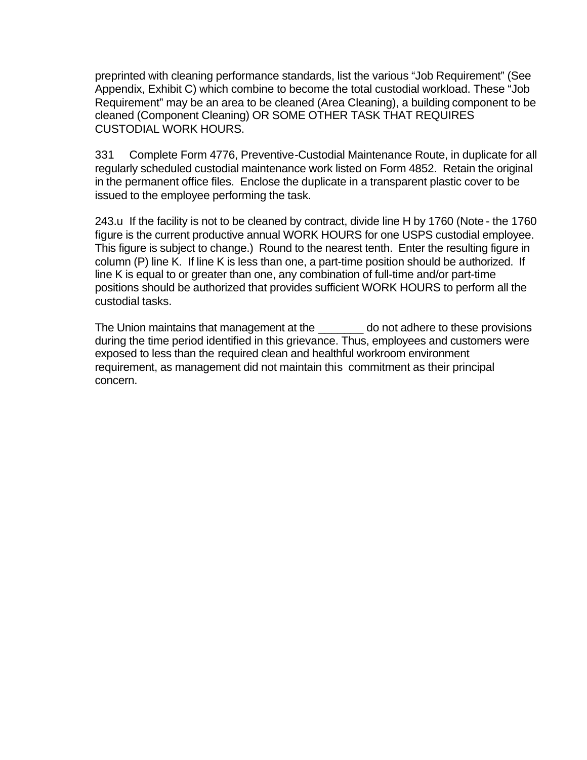preprinted with cleaning performance standards, list the various "Job Requirement" (See Appendix, Exhibit C) which combine to become the total custodial workload. These "Job Requirement" may be an area to be cleaned (Area Cleaning), a building component to be cleaned (Component Cleaning) OR SOME OTHER TASK THAT REQUIRES CUSTODIAL WORK HOURS.

331 Complete Form 4776, Preventive-Custodial Maintenance Route, in duplicate for all regularly scheduled custodial maintenance work listed on Form 4852. Retain the original in the permanent office files. Enclose the duplicate in a transparent plastic cover to be issued to the employee performing the task.

243.u If the facility is not to be cleaned by contract, divide line H by 1760 (Note - the 1760 figure is the current productive annual WORK HOURS for one USPS custodial employee. This figure is subject to change.) Round to the nearest tenth. Enter the resulting figure in column (P) line K. If line K is less than one, a part-time position should be authorized. If line K is equal to or greater than one, any combination of full-time and/or part-time positions should be authorized that provides sufficient WORK HOURS to perform all the custodial tasks.

The Union maintains that management at the \_\_\_\_\_\_\_ do not adhere to these provisions during the time period identified in this grievance. Thus, employees and customers were exposed to less than the required clean and healthful workroom environment requirement, as management did not maintain this commitment as their principal concern.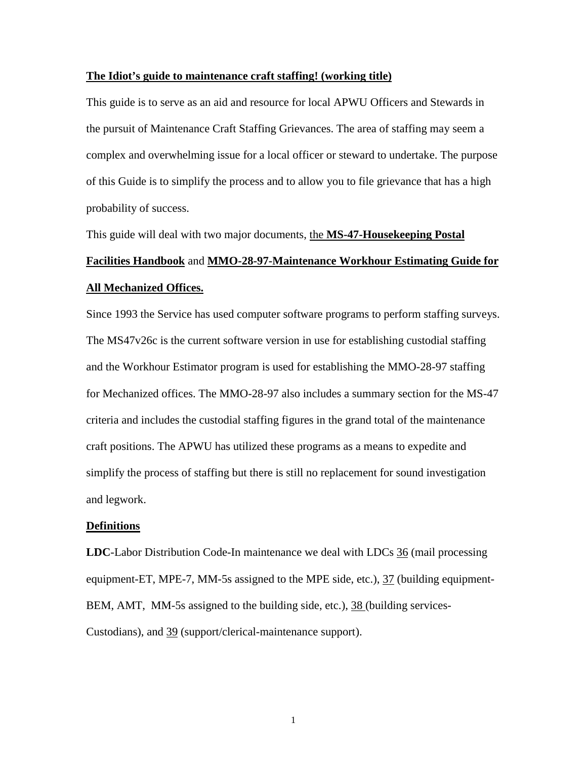#### **The Idiot's guide to maintenance craft staffing! (working title)**

This guide is to serve as an aid and resource for local APWU Officers and Stewards in the pursuit of Maintenance Craft Staffing Grievances. The area of staffing may seem a complex and overwhelming issue for a local officer or steward to undertake. The purpose of this Guide is to simplify the process and to allow you to file grievance that has a high probability of success.

This guide will deal with two major documents, the **MS-47-Housekeeping Postal Facilities Handbook** and **MMO-28-97-Maintenance Workhour Estimating Guide for All Mechanized Offices.**

Since 1993 the Service has used computer software programs to perform staffing surveys. The MS47v26c is the current software version in use for establishing custodial staffing and the Workhour Estimator program is used for establishing the MMO-28-97 staffing for Mechanized offices. The MMO-28-97 also includes a summary section for the MS-47 criteria and includes the custodial staffing figures in the grand total of the maintenance craft positions. The APWU has utilized these programs as a means to expedite and simplify the process of staffing but there is still no replacement for sound investigation and legwork.

#### **Definitions**

**LDC**-Labor Distribution Code-In maintenance we deal with LDCs 36 (mail processing equipment-ET, MPE-7, MM-5s assigned to the MPE side, etc.), 37 (building equipment-BEM, AMT, MM-5s assigned to the building side, etc.), 38 (building services-Custodians), and 39 (support/clerical-maintenance support).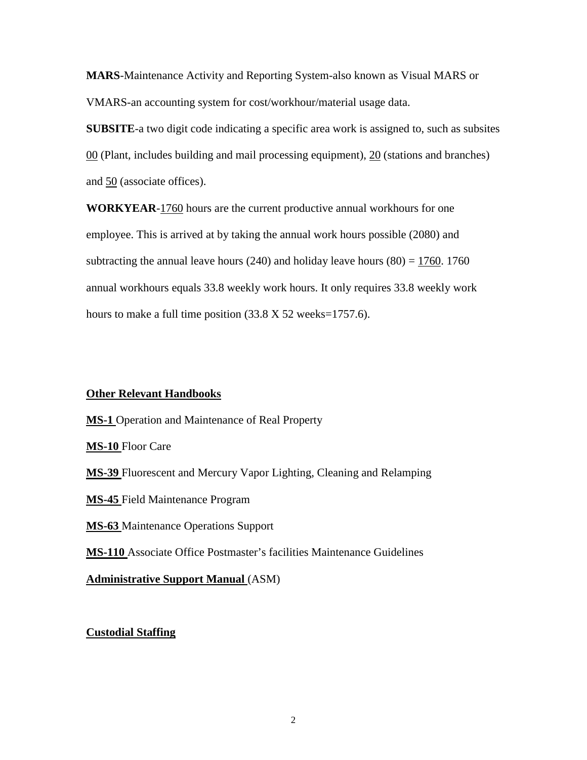**MARS**-Maintenance Activity and Reporting System-also known as Visual MARS or VMARS-an accounting system for cost/workhour/material usage data.

**SUBSITE**-a two digit code indicating a specific area work is assigned to, such as subsites  $00$  (Plant, includes building and mail processing equipment),  $20$  (stations and branches) and 50 (associate offices).

**WORKYEAR**-1760 hours are the current productive annual workhours for one employee. This is arrived at by taking the annual work hours possible (2080) and subtracting the annual leave hours (240) and holiday leave hours (80) =  $1760$ . 1760 annual workhours equals 33.8 weekly work hours. It only requires 33.8 weekly work hours to make a full time position (33.8 X 52 weeks=1757.6).

### **Other Relevant Handbooks**

**MS-1** Operation and Maintenance of Real Property **MS-10** Floor Care **MS-39** Fluorescent and Mercury Vapor Lighting, Cleaning and Relamping **MS-45** Field Maintenance Program **MS-63** Maintenance Operations Support **MS-110** Associate Office Postmaster's facilities Maintenance Guidelines **Administrative Support Manual** (ASM)

### **Custodial Staffing**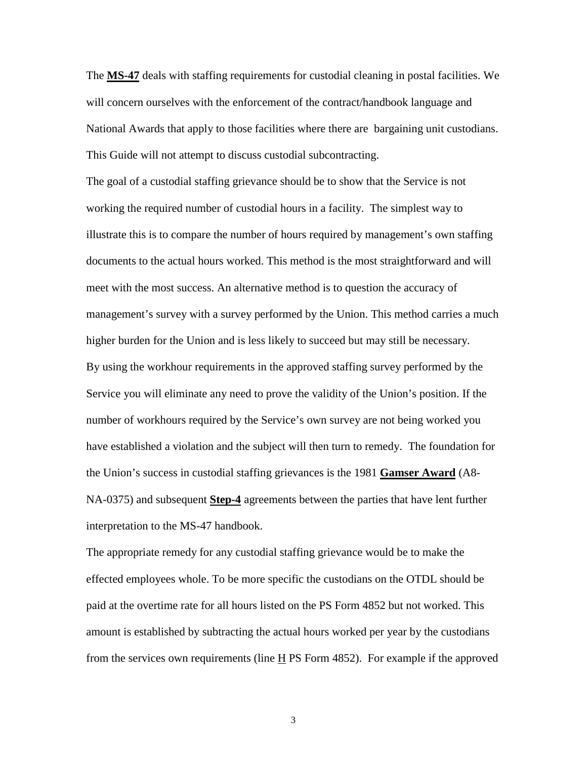The **MS-47** deals with staffing requirements for custodial cleaning in postal facilities. We will concern ourselves with the enforcement of the contract/handbook language and National Awards that apply to those facilities where there are bargaining unit custodians. This Guide will not attempt to discuss custodial subcontracting.

The goal of a custodial staffing grievance should be to show that the Service is not working the required number of custodial hours in a facility. The simplest way to illustrate this is to compare the number of hours required by management's own staffing documents to the actual hours worked. This method is the most straightforward and will meet with the most success. An alternative method is to question the accuracy of management's survey with a survey performed by the Union. This method carries a much higher burden for the Union and is less likely to succeed but may still be necessary. By using the workhour requirements in the approved staffing survey performed by the Service you will eliminate any need to prove the validity of the Union's position. If the number of workhours required by the Service's own survey are not being worked you have established a violation and the subject will then turn to remedy. The foundation for the Union's success in custodial staffing grievances is the 1981 **Gamser Award** (A8- NA-0375) and subsequent **Step-4** agreements between the parties that have lent further interpretation to the MS-47 handbook.

The appropriate remedy for any custodial staffing grievance would be to make the effected employees whole. To be more specific the custodians on the OTDL should be paid at the overtime rate for all hours listed on the PS Form 4852 but not worked. This amount is established by subtracting the actual hours worked per year by the custodians from the services own requirements (line  $\underline{H}$  PS Form 4852). For example if the approved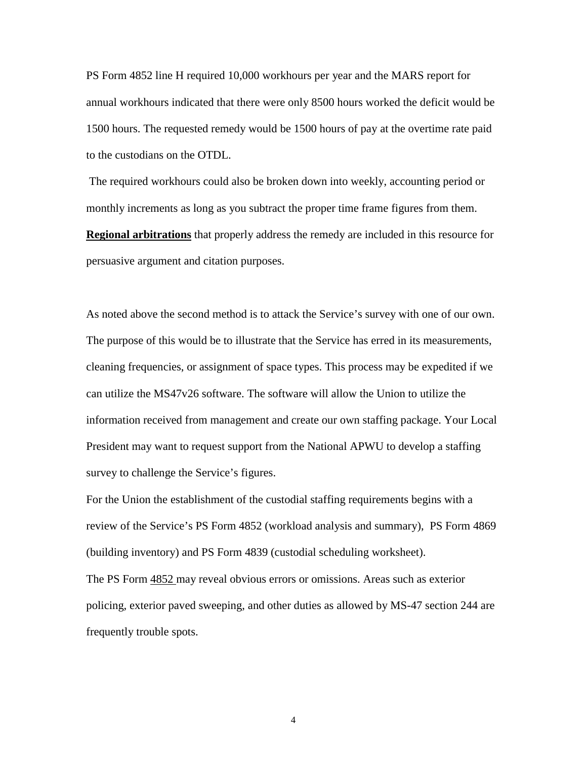PS Form 4852 line H required 10,000 workhours per year and the MARS report for annual workhours indicated that there were only 8500 hours worked the deficit would be 1500 hours. The requested remedy would be 1500 hours of pay at the overtime rate paid to the custodians on the OTDL.

 The required workhours could also be broken down into weekly, accounting period or monthly increments as long as you subtract the proper time frame figures from them. **Regional arbitrations** that properly address the remedy are included in this resource for persuasive argument and citation purposes.

As noted above the second method is to attack the Service's survey with one of our own. The purpose of this would be to illustrate that the Service has erred in its measurements, cleaning frequencies, or assignment of space types. This process may be expedited if we can utilize the MS47v26 software. The software will allow the Union to utilize the information received from management and create our own staffing package. Your Local President may want to request support from the National APWU to develop a staffing survey to challenge the Service's figures.

For the Union the establishment of the custodial staffing requirements begins with a review of the Service's PS Form 4852 (workload analysis and summary), PS Form 4869 (building inventory) and PS Form 4839 (custodial scheduling worksheet). The PS Form 4852 may reveal obvious errors or omissions. Areas such as exterior policing, exterior paved sweeping, and other duties as allowed by MS-47 section 244 are frequently trouble spots.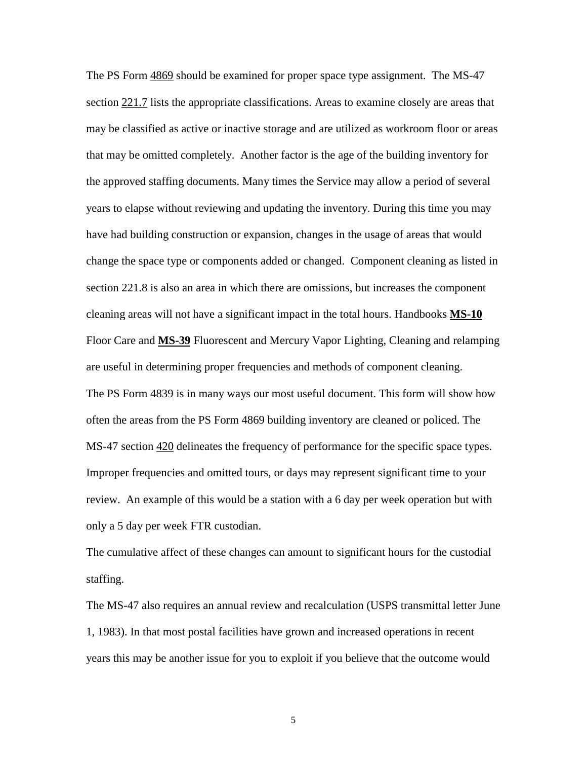The PS Form 4869 should be examined for proper space type assignment. The MS-47 section 221.7 lists the appropriate classifications. Areas to examine closely are areas that may be classified as active or inactive storage and are utilized as workroom floor or areas that may be omitted completely. Another factor is the age of the building inventory for the approved staffing documents. Many times the Service may allow a period of several years to elapse without reviewing and updating the inventory. During this time you may have had building construction or expansion, changes in the usage of areas that would change the space type or components added or changed. Component cleaning as listed in section 221.8 is also an area in which there are omissions, but increases the component cleaning areas will not have a significant impact in the total hours. Handbooks **MS-10** Floor Care and **MS-39** Fluorescent and Mercury Vapor Lighting, Cleaning and relamping are useful in determining proper frequencies and methods of component cleaning. The PS Form  $\frac{4839}{15}$  is in many ways our most useful document. This form will show how often the areas from the PS Form 4869 building inventory are cleaned or policed. The MS-47 section  $420$  delineates the frequency of performance for the specific space types. Improper frequencies and omitted tours, or days may represent significant time to your review. An example of this would be a station with a 6 day per week operation but with only a 5 day per week FTR custodian.

The cumulative affect of these changes can amount to significant hours for the custodial staffing.

The MS-47 also requires an annual review and recalculation (USPS transmittal letter June 1, 1983). In that most postal facilities have grown and increased operations in recent years this may be another issue for you to exploit if you believe that the outcome would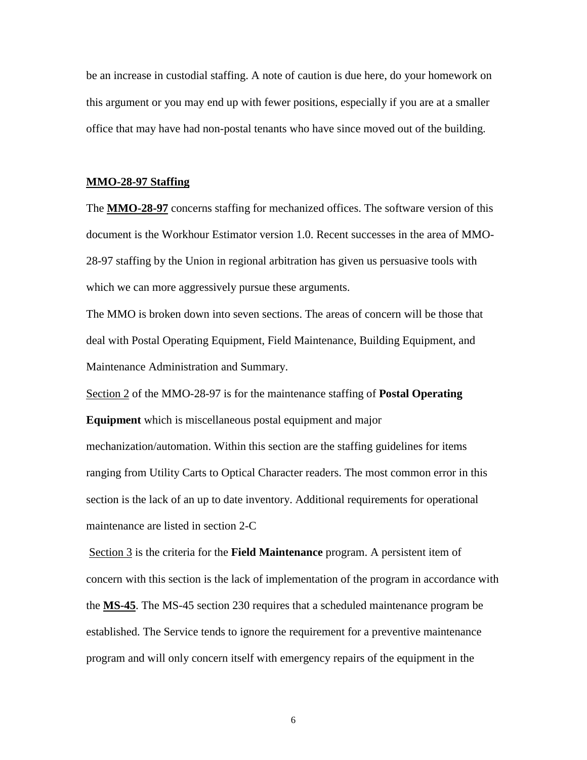be an increase in custodial staffing. A note of caution is due here, do your homework on this argument or you may end up with fewer positions, especially if you are at a smaller office that may have had non-postal tenants who have since moved out of the building.

#### **MMO-28-97 Staffing**

The **MMO-28-97** concerns staffing for mechanized offices. The software version of this document is the Workhour Estimator version 1.0. Recent successes in the area of MMO-28-97 staffing by the Union in regional arbitration has given us persuasive tools with which we can more aggressively pursue these arguments.

The MMO is broken down into seven sections. The areas of concern will be those that deal with Postal Operating Equipment, Field Maintenance, Building Equipment, and Maintenance Administration and Summary.

Section 2 of the MMO-28-97 is for the maintenance staffing of **Postal Operating**

**Equipment** which is miscellaneous postal equipment and major mechanization/automation. Within this section are the staffing guidelines for items ranging from Utility Carts to Optical Character readers. The most common error in this section is the lack of an up to date inventory. Additional requirements for operational maintenance are listed in section 2-C

 Section 3 is the criteria for the **Field Maintenance** program. A persistent item of concern with this section is the lack of implementation of the program in accordance with the **MS-45**. The MS-45 section 230 requires that a scheduled maintenance program be established. The Service tends to ignore the requirement for a preventive maintenance program and will only concern itself with emergency repairs of the equipment in the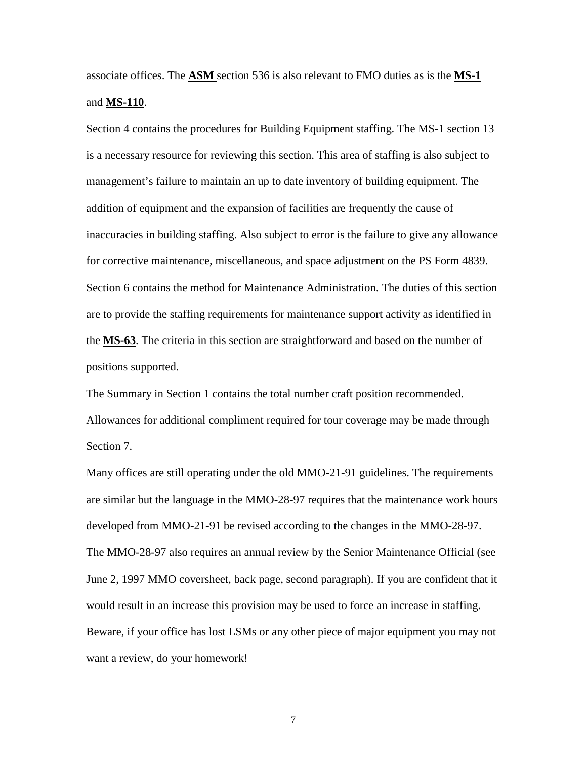associate offices. The **ASM** section 536 is also relevant to FMO duties as is the **MS-1** and **MS-110**.

Section 4 contains the procedures for Building Equipment staffing. The MS-1 section 13 is a necessary resource for reviewing this section. This area of staffing is also subject to management's failure to maintain an up to date inventory of building equipment. The addition of equipment and the expansion of facilities are frequently the cause of inaccuracies in building staffing. Also subject to error is the failure to give any allowance for corrective maintenance, miscellaneous, and space adjustment on the PS Form 4839. Section 6 contains the method for Maintenance Administration. The duties of this section are to provide the staffing requirements for maintenance support activity as identified in the **MS-63**. The criteria in this section are straightforward and based on the number of positions supported.

The Summary in Section 1 contains the total number craft position recommended. Allowances for additional compliment required for tour coverage may be made through Section 7.

Many offices are still operating under the old MMO-21-91 guidelines. The requirements are similar but the language in the MMO-28-97 requires that the maintenance work hours developed from MMO-21-91 be revised according to the changes in the MMO-28-97. The MMO-28-97 also requires an annual review by the Senior Maintenance Official (see June 2, 1997 MMO coversheet, back page, second paragraph). If you are confident that it would result in an increase this provision may be used to force an increase in staffing. Beware, if your office has lost LSMs or any other piece of major equipment you may not want a review, do your homework!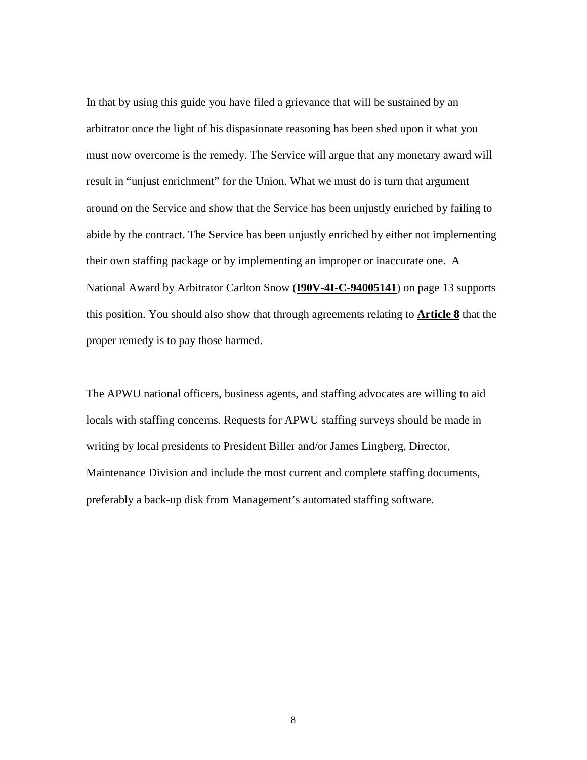In that by using this guide you have filed a grievance that will be sustained by an arbitrator once the light of his dispasionate reasoning has been shed upon it what you must now overcome is the remedy. The Service will argue that any monetary award will result in "unjust enrichment" for the Union. What we must do is turn that argument around on the Service and show that the Service has been unjustly enriched by failing to abide by the contract. The Service has been unjustly enriched by either not implementing their own staffing package or by implementing an improper or inaccurate one. A National Award by Arbitrator Carlton Snow (**I90V-4I-C-94005141**) on page 13 supports this position. You should also show that through agreements relating to **Article 8** that the proper remedy is to pay those harmed.

The APWU national officers, business agents, and staffing advocates are willing to aid locals with staffing concerns. Requests for APWU staffing surveys should be made in writing by local presidents to President Biller and/or James Lingberg, Director, Maintenance Division and include the most current and complete staffing documents, preferably a back-up disk from Management's automated staffing software.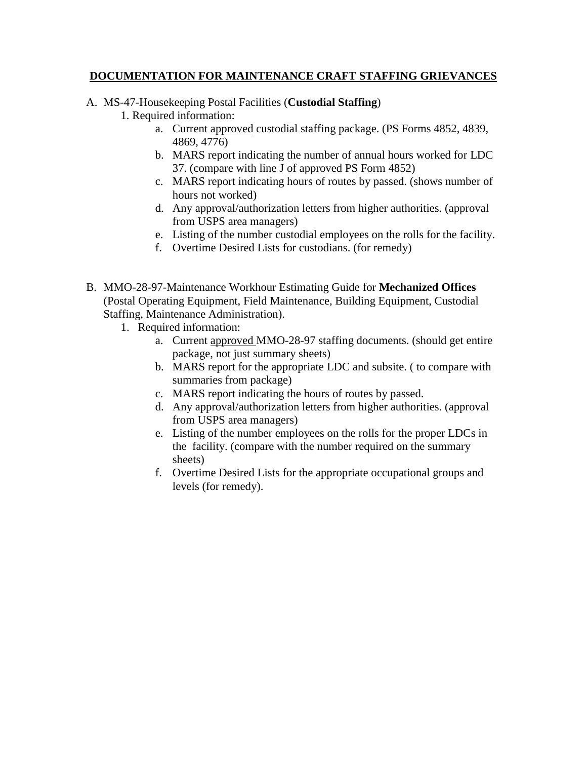### **DOCUMENTATION FOR MAINTENANCE CRAFT STAFFING GRIEVANCES**

## A. MS-47-Housekeeping Postal Facilities (**Custodial Staffing**)

1. Required information:

- a. Current approved custodial staffing package. (PS Forms 4852, 4839, 4869, 4776)
- b. MARS report indicating the number of annual hours worked for LDC 37. (compare with line J of approved PS Form 4852)
- c. MARS report indicating hours of routes by passed. (shows number of hours not worked)
- d. Any approval/authorization letters from higher authorities. (approval from USPS area managers)
- e. Listing of the number custodial employees on the rolls for the facility.
- f. Overtime Desired Lists for custodians. (for remedy)
- B. MMO-28-97-Maintenance Workhour Estimating Guide for **Mechanized Offices** (Postal Operating Equipment, Field Maintenance, Building Equipment, Custodial Staffing, Maintenance Administration).
	- 1. Required information:
		- a. Current approved MMO-28-97 staffing documents. (should get entire package, not just summary sheets)
		- b. MARS report for the appropriate LDC and subsite. ( to compare with summaries from package)
		- c. MARS report indicating the hours of routes by passed.
		- d. Any approval/authorization letters from higher authorities. (approval from USPS area managers)
		- e. Listing of the number employees on the rolls for the proper LDCs in the facility. (compare with the number required on the summary sheets)
		- f. Overtime Desired Lists for the appropriate occupational groups and levels (for remedy).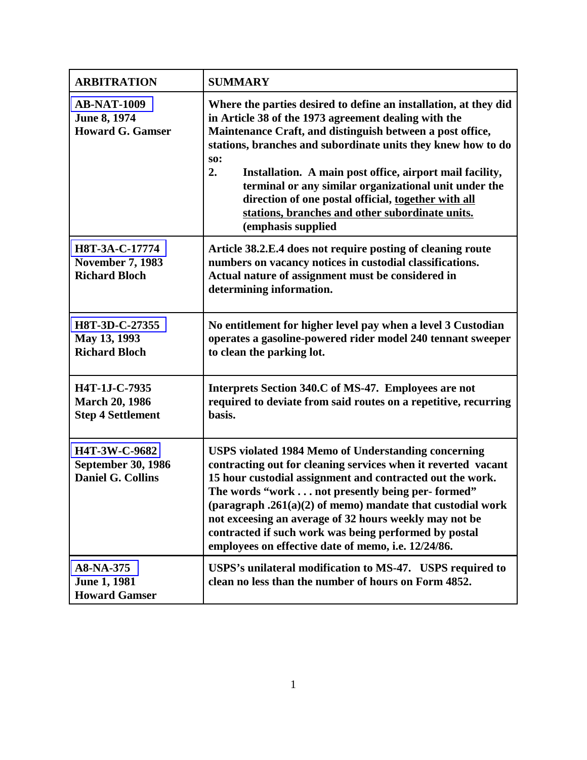| <b>ARBITRATION</b>                                                            | <b>SUMMARY</b>                                                                                                                                                                                                                                                                                                                                                                                                                                                                                                                 |
|-------------------------------------------------------------------------------|--------------------------------------------------------------------------------------------------------------------------------------------------------------------------------------------------------------------------------------------------------------------------------------------------------------------------------------------------------------------------------------------------------------------------------------------------------------------------------------------------------------------------------|
| <b>AB-NAT-1009</b><br>June 8, 1974<br><b>Howard G. Gamser</b>                 | Where the parties desired to define an installation, at they did<br>in Article 38 of the 1973 agreement dealing with the<br>Maintenance Craft, and distinguish between a post office,<br>stations, branches and subordinate units they knew how to do<br><b>SO:</b><br>2.<br>Installation. A main post office, airport mail facility,<br>terminal or any similar organizational unit under the<br>direction of one postal official, together with all<br>stations, branches and other subordinate units.<br>(emphasis supplied |
| H8T-3A-C-17774<br><b>November 7, 1983</b><br><b>Richard Bloch</b>             | Article 38.2.E.4 does not require posting of cleaning route<br>numbers on vacancy notices in custodial classifications.<br>Actual nature of assignment must be considered in<br>determining information.                                                                                                                                                                                                                                                                                                                       |
| H8T-3D-C-27355<br>May 13, 1993<br><b>Richard Bloch</b>                        | No entitlement for higher level pay when a level 3 Custodian<br>operates a gasoline-powered rider model 240 tennant sweeper<br>to clean the parking lot.                                                                                                                                                                                                                                                                                                                                                                       |
| H4T-1J-C-7935<br><b>March 20, 1986</b><br><b>Step 4 Settlement</b>            | Interprets Section 340.C of MS-47. Employees are not<br>required to deviate from said routes on a repetitive, recurring<br>basis.                                                                                                                                                                                                                                                                                                                                                                                              |
| <b>H4T-3W-C-9682</b><br><b>September 30, 1986</b><br><b>Daniel G. Collins</b> | <b>USPS violated 1984 Memo of Understanding concerning</b><br>contracting out for cleaning services when it reverted vacant<br>15 hour custodial assignment and contracted out the work.<br>The words "work not presently being per-formed"<br>(paragraph $.261(a)(2)$ of memo) mandate that custodial work<br>not exceesing an average of 32 hours weekly may not be<br>contracted if such work was being performed by postal<br>employees on effective date of memo, i.e. 12/24/86.                                          |
| A8-NA-375<br><b>June 1, 1981</b><br><b>Howard Gamser</b>                      | USPS's unilateral modification to MS-47. USPS required to<br>clean no less than the number of hours on Form 4852.                                                                                                                                                                                                                                                                                                                                                                                                              |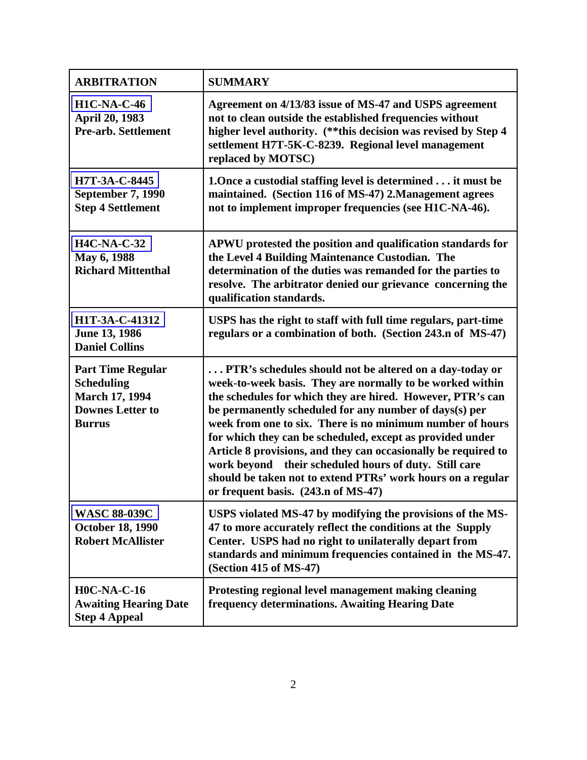| <b>ARBITRATION</b>                                                                                                 | <b>SUMMARY</b>                                                                                                                                                                                                                                                                                                                                                                                                                                                                                                                                                                                          |
|--------------------------------------------------------------------------------------------------------------------|---------------------------------------------------------------------------------------------------------------------------------------------------------------------------------------------------------------------------------------------------------------------------------------------------------------------------------------------------------------------------------------------------------------------------------------------------------------------------------------------------------------------------------------------------------------------------------------------------------|
| <b>H1C-NA-C-46</b><br>April 20, 1983<br><b>Pre-arb. Settlement</b>                                                 | Agreement on 4/13/83 issue of MS-47 and USPS agreement<br>not to clean outside the established frequencies without<br>higher level authority. (** this decision was revised by Step 4<br>settlement H7T-5K-C-8239. Regional level management<br>replaced by MOTSC)                                                                                                                                                                                                                                                                                                                                      |
| H7T-3A-C-8445<br><b>September 7, 1990</b><br><b>Step 4 Settlement</b>                                              | 1. Once a custodial staffing level is determined it must be<br>maintained. (Section 116 of MS-47) 2. Management agrees<br>not to implement improper frequencies (see H1C-NA-46).                                                                                                                                                                                                                                                                                                                                                                                                                        |
| <b>H4C-NA-C-32</b><br>May 6, 1988<br><b>Richard Mittenthal</b>                                                     | APWU protested the position and qualification standards for<br>the Level 4 Building Maintenance Custodian. The<br>determination of the duties was remanded for the parties to<br>resolve. The arbitrator denied our grievance concerning the<br>qualification standards.                                                                                                                                                                                                                                                                                                                                |
| H1T-3A-C-41312<br>June 13, 1986<br><b>Daniel Collins</b>                                                           | USPS has the right to staff with full time regulars, part-time<br>regulars or a combination of both. (Section 243.n of MS-47)                                                                                                                                                                                                                                                                                                                                                                                                                                                                           |
| <b>Part Time Regular</b><br><b>Scheduling</b><br><b>March 17, 1994</b><br><b>Downes Letter to</b><br><b>Burrus</b> | PTR's schedules should not be altered on a day-today or<br>week-to-week basis. They are normally to be worked within<br>the schedules for which they are hired. However, PTR's can<br>be permanently scheduled for any number of days(s) per<br>week from one to six. There is no minimum number of hours<br>for which they can be scheduled, except as provided under<br>Article 8 provisions, and they can occasionally be required to<br>work beyond their scheduled hours of duty. Still care<br>should be taken not to extend PTRs' work hours on a regular<br>or frequent basis. (243.n of MS-47) |
| <b>WASC 88-039C</b><br><b>October 18, 1990</b><br><b>Robert McAllister</b>                                         | USPS violated MS-47 by modifying the provisions of the MS-<br>47 to more accurately reflect the conditions at the Supply<br>Center. USPS had no right to unilaterally depart from<br>standards and minimum frequencies contained in the MS-47.<br>(Section 415 of MS-47)                                                                                                                                                                                                                                                                                                                                |
| <b>H0C-NA-C-16</b><br><b>Awaiting Hearing Date</b><br><b>Step 4 Appeal</b>                                         | Protesting regional level management making cleaning<br>frequency determinations. Awaiting Hearing Date                                                                                                                                                                                                                                                                                                                                                                                                                                                                                                 |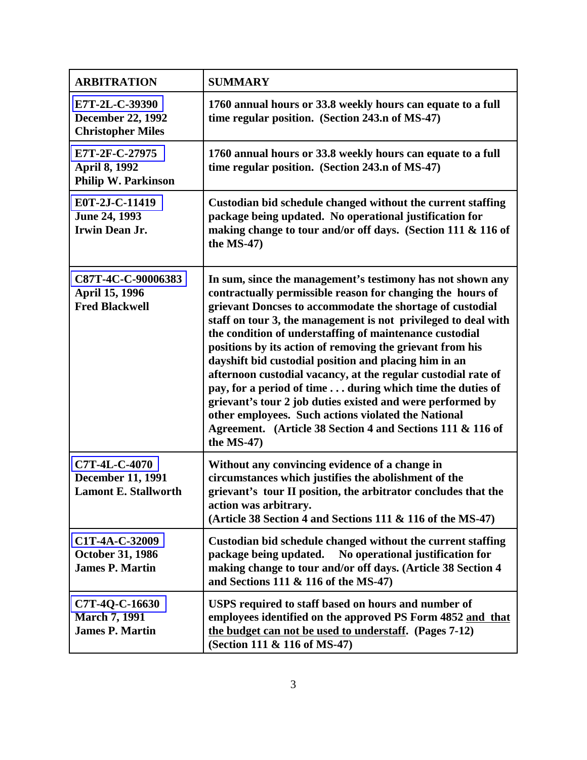| <b>ARBITRATION</b>                                                       | <b>SUMMARY</b>                                                                                                                                                                                                                                                                                                                                                                                                                                                                                                                                                                                                                                                                                                                                                          |
|--------------------------------------------------------------------------|-------------------------------------------------------------------------------------------------------------------------------------------------------------------------------------------------------------------------------------------------------------------------------------------------------------------------------------------------------------------------------------------------------------------------------------------------------------------------------------------------------------------------------------------------------------------------------------------------------------------------------------------------------------------------------------------------------------------------------------------------------------------------|
| E7T-2L-C-39390<br><b>December 22, 1992</b><br><b>Christopher Miles</b>   | 1760 annual hours or 33.8 weekly hours can equate to a full<br>time regular position. (Section 243.n of MS-47)                                                                                                                                                                                                                                                                                                                                                                                                                                                                                                                                                                                                                                                          |
| E7T-2F-C-27975<br><b>April 8, 1992</b><br><b>Philip W. Parkinson</b>     | 1760 annual hours or 33.8 weekly hours can equate to a full<br>time regular position. (Section 243.n of MS-47)                                                                                                                                                                                                                                                                                                                                                                                                                                                                                                                                                                                                                                                          |
| E0T-2J-C-11419<br>June 24, 1993<br><b>Irwin Dean Jr.</b>                 | Custodian bid schedule changed without the current staffing<br>package being updated. No operational justification for<br>making change to tour and/or off days. (Section 111 & 116 of<br>the MS-47)                                                                                                                                                                                                                                                                                                                                                                                                                                                                                                                                                                    |
| C87T-4C-C-90006383<br>April 15, 1996<br><b>Fred Blackwell</b>            | In sum, since the management's testimony has not shown any<br>contractually permissible reason for changing the hours of<br>grievant Doncses to accommodate the shortage of custodial<br>staff on tour 3, the management is not privileged to deal with<br>the condition of understaffing of maintenance custodial<br>positions by its action of removing the grievant from his<br>dayshift bid custodial position and placing him in an<br>afternoon custodial vacancy, at the regular custodial rate of<br>pay, for a period of time during which time the duties of<br>grievant's tour 2 job duties existed and were performed by<br>other employees. Such actions violated the National<br>Agreement. (Article 38 Section 4 and Sections 111 & 116 of<br>the MS-47) |
| C7T-4L-C-4070<br><b>December 11, 1991</b><br><b>Lamont E. Stallworth</b> | Without any convincing evidence of a change in<br>circumstances which justifies the abolishment of the<br>grievant's tour II position, the arbitrator concludes that the<br>action was arbitrary.<br>(Article 38 Section 4 and Sections 111 & 116 of the MS-47)                                                                                                                                                                                                                                                                                                                                                                                                                                                                                                         |
| C1T-4A-C-32009<br><b>October 31, 1986</b><br><b>James P. Martin</b>      | Custodian bid schedule changed without the current staffing<br>package being updated.<br>No operational justification for<br>making change to tour and/or off days. (Article 38 Section 4<br>and Sections 111 & 116 of the MS-47)                                                                                                                                                                                                                                                                                                                                                                                                                                                                                                                                       |
| C7T-4Q-C-16630<br><b>March 7, 1991</b><br><b>James P. Martin</b>         | USPS required to staff based on hours and number of<br>employees identified on the approved PS Form 4852 and that<br>the budget can not be used to understaff. (Pages 7-12)<br>(Section 111 & 116 of MS-47)                                                                                                                                                                                                                                                                                                                                                                                                                                                                                                                                                             |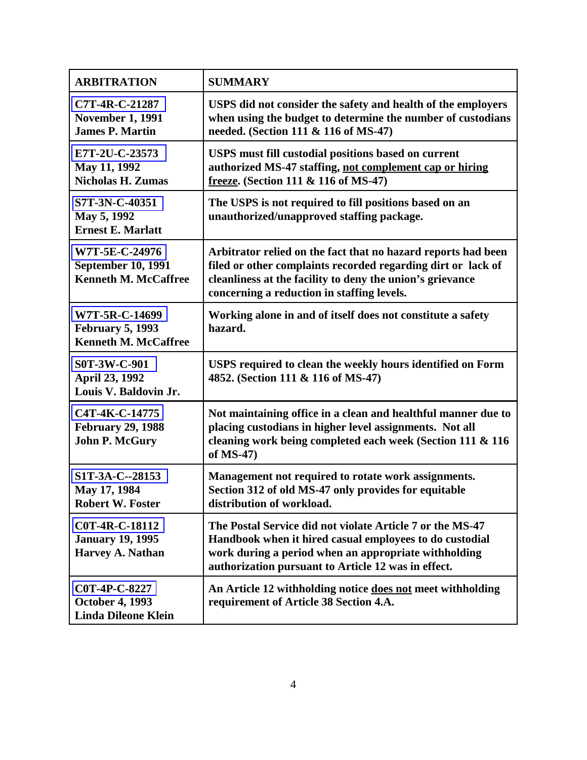| <b>ARBITRATION</b>                                                         | <b>SUMMARY</b>                                                                                                                                                                                                                           |
|----------------------------------------------------------------------------|------------------------------------------------------------------------------------------------------------------------------------------------------------------------------------------------------------------------------------------|
| C7T-4R-C-21287<br><b>November 1, 1991</b><br><b>James P. Martin</b>        | USPS did not consider the safety and health of the employers<br>when using the budget to determine the number of custodians<br>needed. (Section 111 & 116 of MS-47)                                                                      |
| E7T-2U-C-23573<br>May 11, 1992<br><b>Nicholas H. Zumas</b>                 | <b>USPS</b> must fill custodial positions based on current<br>authorized MS-47 staffing, not complement cap or hiring<br>freeze. (Section 111 & 116 of MS-47)                                                                            |
| S7T-3N-C-40351<br>May 5, 1992<br><b>Ernest E. Marlatt</b>                  | The USPS is not required to fill positions based on an<br>unauthorized/unapproved staffing package.                                                                                                                                      |
| W7T-5E-C-24976<br><b>September 10, 1991</b><br><b>Kenneth M. McCaffree</b> | Arbitrator relied on the fact that no hazard reports had been<br>filed or other complaints recorded regarding dirt or lack of<br>cleanliness at the facility to deny the union's grievance<br>concerning a reduction in staffing levels. |
| W7T-5R-C-14699<br><b>February 5, 1993</b><br><b>Kenneth M. McCaffree</b>   | Working alone in and of itself does not constitute a safety<br>hazard.                                                                                                                                                                   |
| S0T-3W-C-901<br>April 23, 1992<br>Louis V. Baldovin Jr.                    | USPS required to clean the weekly hours identified on Form<br>4852. (Section 111 & 116 of MS-47)                                                                                                                                         |
| C4T-4K-C-14775<br><b>February 29, 1988</b><br><b>John P. McGury</b>        | Not maintaining office in a clean and healthful manner due to<br>placing custodians in higher level assignments. Not all<br>cleaning work being completed each week (Section 111 & 116<br>of MS-47)                                      |
| S1T-3A-C--28153<br>May 17, 1984<br><b>Robert W. Foster</b>                 | Management not required to rotate work assignments.<br>Section 312 of old MS-47 only provides for equitable<br>distribution of workload.                                                                                                 |
| C0T-4R-C-18112<br><b>January 19, 1995</b><br><b>Harvey A. Nathan</b>       | The Postal Service did not violate Article 7 or the MS-47<br>Handbook when it hired casual employees to do custodial<br>work during a period when an appropriate withholding<br>authorization pursuant to Article 12 was in effect.      |
| C0T-4P-C-8227<br><b>October 4, 1993</b><br><b>Linda Dileone Klein</b>      | An Article 12 withholding notice does not meet withholding<br>requirement of Article 38 Section 4.A.                                                                                                                                     |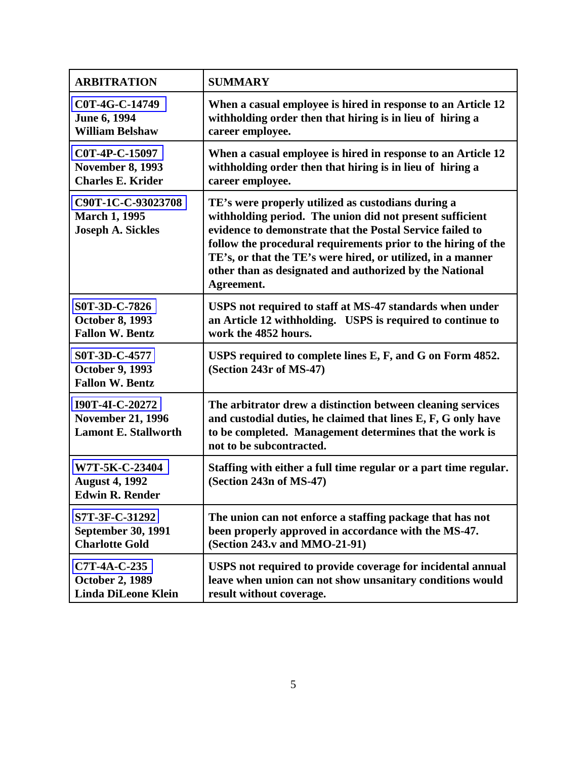| <b>ARBITRATION</b>                                                         | <b>SUMMARY</b>                                                                                                                                                                                                                                                                                                                                                                       |
|----------------------------------------------------------------------------|--------------------------------------------------------------------------------------------------------------------------------------------------------------------------------------------------------------------------------------------------------------------------------------------------------------------------------------------------------------------------------------|
| C0T-4G-C-14749                                                             | When a casual employee is hired in response to an Article 12                                                                                                                                                                                                                                                                                                                         |
| June 6, 1994                                                               | withholding order then that hiring is in lieu of hiring a                                                                                                                                                                                                                                                                                                                            |
| <b>William Belshaw</b>                                                     | career employee.                                                                                                                                                                                                                                                                                                                                                                     |
| C0T-4P-C-15097                                                             | When a casual employee is hired in response to an Article 12                                                                                                                                                                                                                                                                                                                         |
| <b>November 8, 1993</b>                                                    | withholding order then that hiring is in lieu of hiring a                                                                                                                                                                                                                                                                                                                            |
| <b>Charles E. Krider</b>                                                   | career employee.                                                                                                                                                                                                                                                                                                                                                                     |
| C90T-1C-C-93023708<br><b>March 1, 1995</b><br><b>Joseph A. Sickles</b>     | TE's were properly utilized as custodians during a<br>withholding period. The union did not present sufficient<br>evidence to demonstrate that the Postal Service failed to<br>follow the procedural requirements prior to the hiring of the<br>TE's, or that the TE's were hired, or utilized, in a manner<br>other than as designated and authorized by the National<br>Agreement. |
| S0T-3D-C-7826                                                              | USPS not required to staff at MS-47 standards when under                                                                                                                                                                                                                                                                                                                             |
| <b>October 8, 1993</b>                                                     | an Article 12 withholding. USPS is required to continue to                                                                                                                                                                                                                                                                                                                           |
| <b>Fallon W. Bentz</b>                                                     | work the 4852 hours.                                                                                                                                                                                                                                                                                                                                                                 |
| S0T-3D-C-4577<br><b>October 9, 1993</b><br><b>Fallon W. Bentz</b>          | USPS required to complete lines E, F, and G on Form 4852.<br>(Section 243r of MS-47)                                                                                                                                                                                                                                                                                                 |
| I90T-4I-C-20272<br><b>November 21, 1996</b><br><b>Lamont E. Stallworth</b> | The arbitrator drew a distinction between cleaning services<br>and custodial duties, he claimed that lines E, F, G only have<br>to be completed. Management determines that the work is<br>not to be subcontracted.                                                                                                                                                                  |
| W7T-5K-C-23404<br><b>August 4, 1992</b><br><b>Edwin R. Render</b>          | Staffing with either a full time regular or a part time regular.<br>(Section 243n of MS-47)                                                                                                                                                                                                                                                                                          |
| S7T-3F-C-31292                                                             | The union can not enforce a staffing package that has not                                                                                                                                                                                                                                                                                                                            |
| <b>September 30, 1991</b>                                                  | been properly approved in accordance with the MS-47.                                                                                                                                                                                                                                                                                                                                 |
| <b>Charlotte Gold</b>                                                      | (Section 243.v and MMO-21-91)                                                                                                                                                                                                                                                                                                                                                        |
| C7T-4A-C-235                                                               | USPS not required to provide coverage for incidental annual                                                                                                                                                                                                                                                                                                                          |
| <b>October 2, 1989</b>                                                     | leave when union can not show unsanitary conditions would                                                                                                                                                                                                                                                                                                                            |
| <b>Linda DiLeone Klein</b>                                                 | result without coverage.                                                                                                                                                                                                                                                                                                                                                             |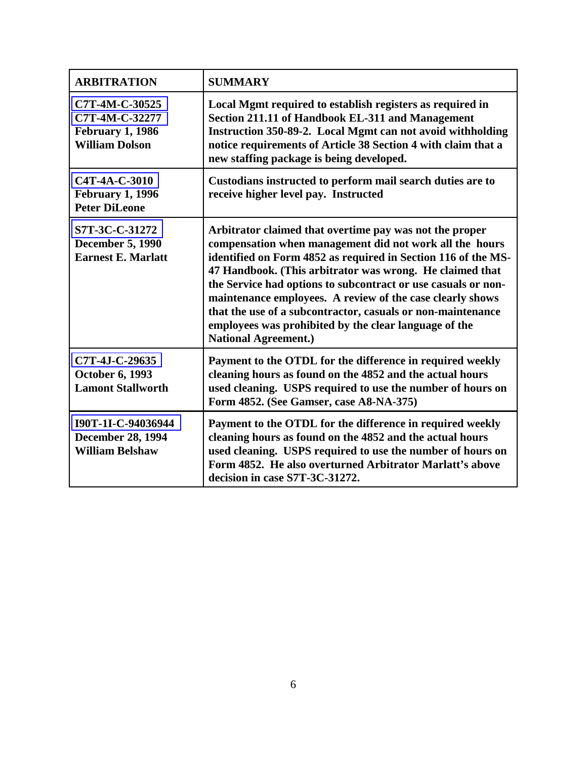| <b>ARBITRATION</b>                                                                   | <b>SUMMARY</b>                                                                                                                                                                                                                                                                                                                                                                                                                                                                                                                       |
|--------------------------------------------------------------------------------------|--------------------------------------------------------------------------------------------------------------------------------------------------------------------------------------------------------------------------------------------------------------------------------------------------------------------------------------------------------------------------------------------------------------------------------------------------------------------------------------------------------------------------------------|
| C7T-4M-C-30525<br>C7T-4M-C-32277<br><b>February 1, 1986</b><br><b>William Dolson</b> | Local Mgmt required to establish registers as required in<br>Section 211.11 of Handbook EL-311 and Management<br>Instruction 350-89-2. Local Mgmt can not avoid withholding<br>notice requirements of Article 38 Section 4 with claim that a<br>new staffing package is being developed.                                                                                                                                                                                                                                             |
| C4T-4A-C-3010<br><b>February 1, 1996</b><br><b>Peter DiLeone</b>                     | Custodians instructed to perform mail search duties are to<br>receive higher level pay. Instructed                                                                                                                                                                                                                                                                                                                                                                                                                                   |
| S7T-3C-C-31272<br><b>December 5, 1990</b><br><b>Earnest E. Marlatt</b>               | Arbitrator claimed that overtime pay was not the proper<br>compensation when management did not work all the hours<br>identified on Form 4852 as required in Section 116 of the MS-<br>47 Handbook. (This arbitrator was wrong. He claimed that<br>the Service had options to subcontract or use casuals or non-<br>maintenance employees. A review of the case clearly shows<br>that the use of a subcontractor, casuals or non-maintenance<br>employees was prohibited by the clear language of the<br><b>National Agreement.)</b> |
| C7T-4J-C-29635<br><b>October 6, 1993</b><br><b>Lamont Stallworth</b>                 | Payment to the OTDL for the difference in required weekly<br>cleaning hours as found on the 4852 and the actual hours<br>used cleaning. USPS required to use the number of hours on<br>Form 4852. (See Gamser, case A8-NA-375)                                                                                                                                                                                                                                                                                                       |
| I90T-1I-C-94036944<br><b>December 28, 1994</b><br><b>William Belshaw</b>             | Payment to the OTDL for the difference in required weekly<br>cleaning hours as found on the 4852 and the actual hours<br>used cleaning. USPS required to use the number of hours on<br>Form 4852. He also overturned Arbitrator Marlatt's above<br>decision in case S7T-3C-31272.                                                                                                                                                                                                                                                    |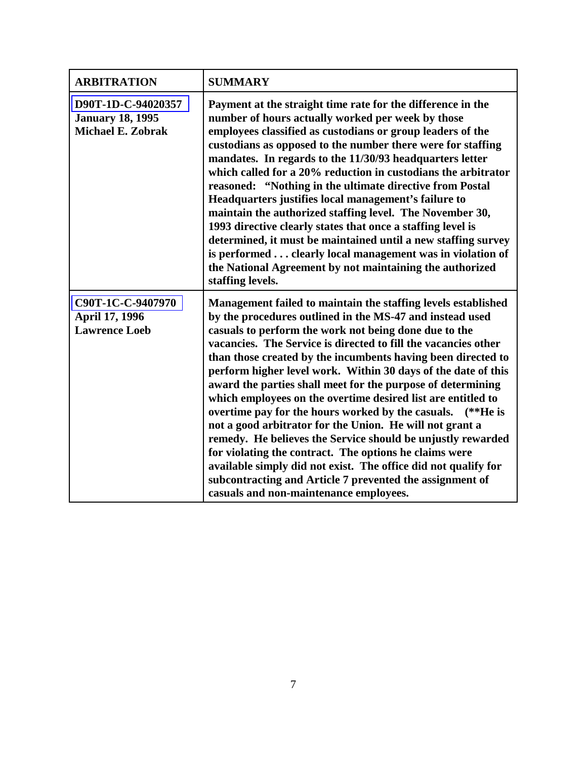| <b>ARBITRATION</b>                                                        | <b>SUMMARY</b>                                                                                                                                                                                                                                                                                                                                                                                                                                                                                                                                                                                                                                                                                                                                                                                                                                                                                                                                       |
|---------------------------------------------------------------------------|------------------------------------------------------------------------------------------------------------------------------------------------------------------------------------------------------------------------------------------------------------------------------------------------------------------------------------------------------------------------------------------------------------------------------------------------------------------------------------------------------------------------------------------------------------------------------------------------------------------------------------------------------------------------------------------------------------------------------------------------------------------------------------------------------------------------------------------------------------------------------------------------------------------------------------------------------|
| D90T-1D-C-94020357<br><b>January 18, 1995</b><br><b>Michael E. Zobrak</b> | Payment at the straight time rate for the difference in the<br>number of hours actually worked per week by those<br>employees classified as custodians or group leaders of the<br>custodians as opposed to the number there were for staffing<br>mandates. In regards to the 11/30/93 headquarters letter<br>which called for a 20% reduction in custodians the arbitrator<br>reasoned: "Nothing in the ultimate directive from Postal<br>Headquarters justifies local management's failure to<br>maintain the authorized staffing level. The November 30,<br>1993 directive clearly states that once a staffing level is<br>determined, it must be maintained until a new staffing survey<br>is performed clearly local management was in violation of<br>the National Agreement by not maintaining the authorized<br>staffing levels.                                                                                                              |
| C90T-1C-C-9407970<br>April 17, 1996<br><b>Lawrence Loeb</b>               | Management failed to maintain the staffing levels established<br>by the procedures outlined in the MS-47 and instead used<br>casuals to perform the work not being done due to the<br>vacancies. The Service is directed to fill the vacancies other<br>than those created by the incumbents having been directed to<br>perform higher level work. Within 30 days of the date of this<br>award the parties shall meet for the purpose of determining<br>which employees on the overtime desired list are entitled to<br>overtime pay for the hours worked by the casuals.<br>$(**He is$<br>not a good arbitrator for the Union. He will not grant a<br>remedy. He believes the Service should be unjustly rewarded<br>for violating the contract. The options he claims were<br>available simply did not exist. The office did not qualify for<br>subcontracting and Article 7 prevented the assignment of<br>casuals and non-maintenance employees. |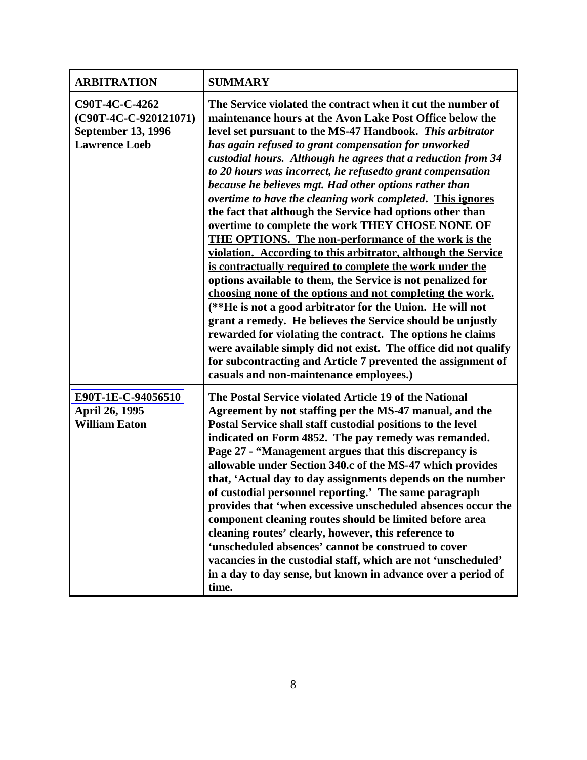| <b>ARBITRATION</b>                                                                           | <b>SUMMARY</b>                                                                                                                                                                                                                                                                                                                                                                                                                                                                                                                                                                                                                                                                                                                                                                                                                                                                                                                                                                                                                                                                                                                                                                                                                                                                                                    |
|----------------------------------------------------------------------------------------------|-------------------------------------------------------------------------------------------------------------------------------------------------------------------------------------------------------------------------------------------------------------------------------------------------------------------------------------------------------------------------------------------------------------------------------------------------------------------------------------------------------------------------------------------------------------------------------------------------------------------------------------------------------------------------------------------------------------------------------------------------------------------------------------------------------------------------------------------------------------------------------------------------------------------------------------------------------------------------------------------------------------------------------------------------------------------------------------------------------------------------------------------------------------------------------------------------------------------------------------------------------------------------------------------------------------------|
| C90T-4C-C-4262<br>(C90T-4C-C-920121071)<br><b>September 13, 1996</b><br><b>Lawrence Loeb</b> | The Service violated the contract when it cut the number of<br>maintenance hours at the Avon Lake Post Office below the<br>level set pursuant to the MS-47 Handbook. This arbitrator<br>has again refused to grant compensation for unworked<br>custodial hours. Although he agrees that a reduction from 34<br>to 20 hours was incorrect, he refusedto grant compensation<br>because he believes mgt. Had other options rather than<br>overtime to have the cleaning work completed. This ignores<br>the fact that although the Service had options other than<br>overtime to complete the work THEY CHOSE NONE OF<br><b>THE OPTIONS. The non-performance of the work is the</b><br>violation. According to this arbitrator, although the Service<br>is contractually required to complete the work under the<br>options available to them, the Service is not penalized for<br>choosing none of the options and not completing the work.<br>(**He is not a good arbitrator for the Union. He will not<br>grant a remedy. He believes the Service should be unjustly<br>rewarded for violating the contract. The options he claims<br>were available simply did not exist. The office did not qualify<br>for subcontracting and Article 7 prevented the assignment of<br>casuals and non-maintenance employees.) |
| E90T-1E-C-94056510<br>April 26, 1995<br><b>William Eaton</b>                                 | The Postal Service violated Article 19 of the National<br>Agreement by not staffing per the MS-47 manual, and the<br>Postal Service shall staff custodial positions to the level<br>indicated on Form 4852. The pay remedy was remanded.<br>Page 27 - "Management argues that this discrepancy is<br>allowable under Section 340.c of the MS-47 which provides<br>that, 'Actual day to day assignments depends on the number<br>of custodial personnel reporting.' The same paragraph<br>provides that 'when excessive unscheduled absences occur the<br>component cleaning routes should be limited before area<br>cleaning routes' clearly, however, this reference to<br>'unscheduled absences' cannot be construed to cover<br>vacancies in the custodial staff, which are not 'unscheduled'<br>in a day to day sense, but known in advance over a period of<br>time.                                                                                                                                                                                                                                                                                                                                                                                                                                         |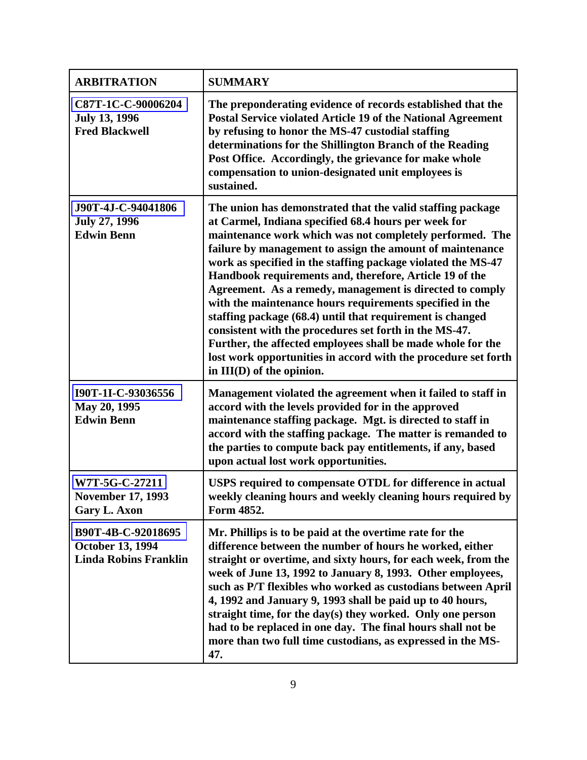| <b>ARBITRATION</b>                                                            | <b>SUMMARY</b>                                                                                                                                                                                                                                                                                                                                                                                                                                                                                                                                                                                                                                                                                                                                                                      |
|-------------------------------------------------------------------------------|-------------------------------------------------------------------------------------------------------------------------------------------------------------------------------------------------------------------------------------------------------------------------------------------------------------------------------------------------------------------------------------------------------------------------------------------------------------------------------------------------------------------------------------------------------------------------------------------------------------------------------------------------------------------------------------------------------------------------------------------------------------------------------------|
| C87T-1C-C-90006204<br><b>July 13, 1996</b><br><b>Fred Blackwell</b>           | The preponderating evidence of records established that the<br>Postal Service violated Article 19 of the National Agreement<br>by refusing to honor the MS-47 custodial staffing<br>determinations for the Shillington Branch of the Reading<br>Post Office. Accordingly, the grievance for make whole<br>compensation to union-designated unit employees is<br>sustained.                                                                                                                                                                                                                                                                                                                                                                                                          |
| J90T-4J-C-94041806<br><b>July 27, 1996</b><br><b>Edwin Benn</b>               | The union has demonstrated that the valid staffing package<br>at Carmel, Indiana specified 68.4 hours per week for<br>maintenance work which was not completely performed. The<br>failure by management to assign the amount of maintenance<br>work as specified in the staffing package violated the MS-47<br>Handbook requirements and, therefore, Article 19 of the<br>Agreement. As a remedy, management is directed to comply<br>with the maintenance hours requirements specified in the<br>staffing package (68.4) until that requirement is changed<br>consistent with the procedures set forth in the MS-47.<br>Further, the affected employees shall be made whole for the<br>lost work opportunities in accord with the procedure set forth<br>in III(D) of the opinion. |
| I90T-1I-C-93036556<br>May 20, 1995<br><b>Edwin Benn</b>                       | Management violated the agreement when it failed to staff in<br>accord with the levels provided for in the approved<br>maintenance staffing package. Mgt. is directed to staff in<br>accord with the staffing package. The matter is remanded to<br>the parties to compute back pay entitlements, if any, based<br>upon actual lost work opportunities.                                                                                                                                                                                                                                                                                                                                                                                                                             |
| W7T-5G-C-27211<br><b>November 17, 1993</b><br><b>Gary L. Axon</b>             | USPS required to compensate OTDL for difference in actual<br>weekly cleaning hours and weekly cleaning hours required by<br>Form 4852.                                                                                                                                                                                                                                                                                                                                                                                                                                                                                                                                                                                                                                              |
| B90T-4B-C-92018695<br><b>October 13, 1994</b><br><b>Linda Robins Franklin</b> | Mr. Phillips is to be paid at the overtime rate for the<br>difference between the number of hours he worked, either<br>straight or overtime, and sixty hours, for each week, from the<br>week of June 13, 1992 to January 8, 1993. Other employees,<br>such as P/T flexibles who worked as custodians between April<br>4, 1992 and January 9, 1993 shall be paid up to 40 hours,<br>straight time, for the day(s) they worked. Only one person<br>had to be replaced in one day. The final hours shall not be<br>more than two full time custodians, as expressed in the MS-<br>47.                                                                                                                                                                                                 |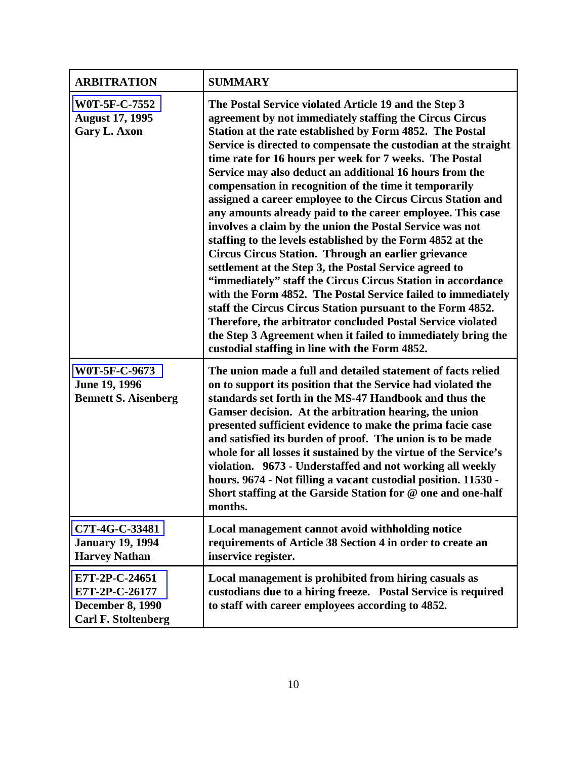| <b>ARBITRATION</b>                                                                        | <b>SUMMARY</b>                                                                                                                                                                                                                                                                                                                                                                                                                                                                                                                                                                                                                                                                                                                                                                                                                                                                                                                                                                                                                                                                                                                                                                               |
|-------------------------------------------------------------------------------------------|----------------------------------------------------------------------------------------------------------------------------------------------------------------------------------------------------------------------------------------------------------------------------------------------------------------------------------------------------------------------------------------------------------------------------------------------------------------------------------------------------------------------------------------------------------------------------------------------------------------------------------------------------------------------------------------------------------------------------------------------------------------------------------------------------------------------------------------------------------------------------------------------------------------------------------------------------------------------------------------------------------------------------------------------------------------------------------------------------------------------------------------------------------------------------------------------|
| W0T-5F-C-7552<br><b>August 17, 1995</b><br><b>Gary L. Axon</b>                            | The Postal Service violated Article 19 and the Step 3<br>agreement by not immediately staffing the Circus Circus<br>Station at the rate established by Form 4852. The Postal<br>Service is directed to compensate the custodian at the straight<br>time rate for 16 hours per week for 7 weeks. The Postal<br>Service may also deduct an additional 16 hours from the<br>compensation in recognition of the time it temporarily<br>assigned a career employee to the Circus Circus Station and<br>any amounts already paid to the career employee. This case<br>involves a claim by the union the Postal Service was not<br>staffing to the levels established by the Form 4852 at the<br><b>Circus Circus Station. Through an earlier grievance</b><br>settlement at the Step 3, the Postal Service agreed to<br>"immediately" staff the Circus Circus Station in accordance<br>with the Form 4852. The Postal Service failed to immediately<br>staff the Circus Circus Station pursuant to the Form 4852.<br>Therefore, the arbitrator concluded Postal Service violated<br>the Step 3 Agreement when it failed to immediately bring the<br>custodial staffing in line with the Form 4852. |
| W0T-5F-C-9673<br>June 19, 1996<br><b>Bennett S. Aisenberg</b>                             | The union made a full and detailed statement of facts relied<br>on to support its position that the Service had violated the<br>standards set forth in the MS-47 Handbook and thus the<br>Gamser decision. At the arbitration hearing, the union<br>presented sufficient evidence to make the prima facie case<br>and satisfied its burden of proof. The union is to be made<br>whole for all losses it sustained by the virtue of the Service's<br>violation. 9673 - Understaffed and not working all weekly<br>hours. 9674 - Not filling a vacant custodial position. 11530 -<br>Short staffing at the Garside Station for @ one and one-half<br>months.                                                                                                                                                                                                                                                                                                                                                                                                                                                                                                                                   |
| C7T-4G-C-33481<br><b>January 19, 1994</b><br><b>Harvey Nathan</b>                         | Local management cannot avoid withholding notice<br>requirements of Article 38 Section 4 in order to create an<br>inservice register.                                                                                                                                                                                                                                                                                                                                                                                                                                                                                                                                                                                                                                                                                                                                                                                                                                                                                                                                                                                                                                                        |
| E7T-2P-C-24651<br>E7T-2P-C-26177<br><b>December 8, 1990</b><br><b>Carl F. Stoltenberg</b> | Local management is prohibited from hiring casuals as<br>custodians due to a hiring freeze. Postal Service is required<br>to staff with career employees according to 4852.                                                                                                                                                                                                                                                                                                                                                                                                                                                                                                                                                                                                                                                                                                                                                                                                                                                                                                                                                                                                                  |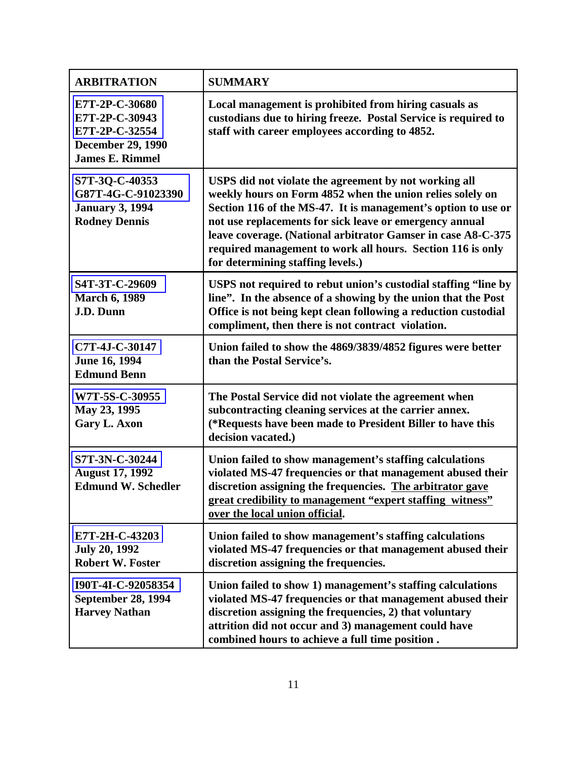| <b>ARBITRATION</b>                                                                                       | <b>SUMMARY</b>                                                                                                                                                                                                                                                                                                                                                                                                    |
|----------------------------------------------------------------------------------------------------------|-------------------------------------------------------------------------------------------------------------------------------------------------------------------------------------------------------------------------------------------------------------------------------------------------------------------------------------------------------------------------------------------------------------------|
| E7T-2P-C-30680<br>E7T-2P-C-30943<br>E7T-2P-C-32554<br><b>December 29, 1990</b><br><b>James E. Rimmel</b> | Local management is prohibited from hiring casuals as<br>custodians due to hiring freeze. Postal Service is required to<br>staff with career employees according to 4852.                                                                                                                                                                                                                                         |
| S7T-3Q-C-40353<br>G87T-4G-C-91023390<br><b>January 3, 1994</b><br><b>Rodney Dennis</b>                   | USPS did not violate the agreement by not working all<br>weekly hours on Form 4852 when the union relies solely on<br>Section 116 of the MS-47. It is management's option to use or<br>not use replacements for sick leave or emergency annual<br>leave coverage. (National arbitrator Gamser in case A8-C-375<br>required management to work all hours. Section 116 is only<br>for determining staffing levels.) |
| S4T-3T-C-29609<br><b>March 6, 1989</b><br>J.D. Dunn                                                      | USPS not required to rebut union's custodial staffing "line by<br>line". In the absence of a showing by the union that the Post<br>Office is not being kept clean following a reduction custodial<br>compliment, then there is not contract violation.                                                                                                                                                            |
| C7T-4J-C-30147<br>June 16, 1994<br><b>Edmund Benn</b>                                                    | Union failed to show the 4869/3839/4852 figures were better<br>than the Postal Service's.                                                                                                                                                                                                                                                                                                                         |
| W7T-5S-C-30955<br>May 23, 1995<br><b>Gary L. Axon</b>                                                    | The Postal Service did not violate the agreement when<br>subcontracting cleaning services at the carrier annex.<br>(*Requests have been made to President Biller to have this<br>decision vacated.)                                                                                                                                                                                                               |
| S7T-3N-C-30244<br><b>August 17, 1992</b><br><b>Edmund W. Schedler</b>                                    | Union failed to show management's staffing calculations<br>violated MS-47 frequencies or that management abused their<br>discretion assigning the frequencies. The arbitrator gave<br>great credibility to management "expert staffing witness"<br>over the local union official.                                                                                                                                 |
| E7T-2H-C-43203<br><b>July 20, 1992</b><br><b>Robert W. Foster</b>                                        | Union failed to show management's staffing calculations<br>violated MS-47 frequencies or that management abused their<br>discretion assigning the frequencies.                                                                                                                                                                                                                                                    |
| I90T-4I-C-92058354<br><b>September 28, 1994</b><br><b>Harvey Nathan</b>                                  | Union failed to show 1) management's staffing calculations<br>violated MS-47 frequencies or that management abused their<br>discretion assigning the frequencies, 2) that voluntary<br>attrition did not occur and 3) management could have<br>combined hours to achieve a full time position.                                                                                                                    |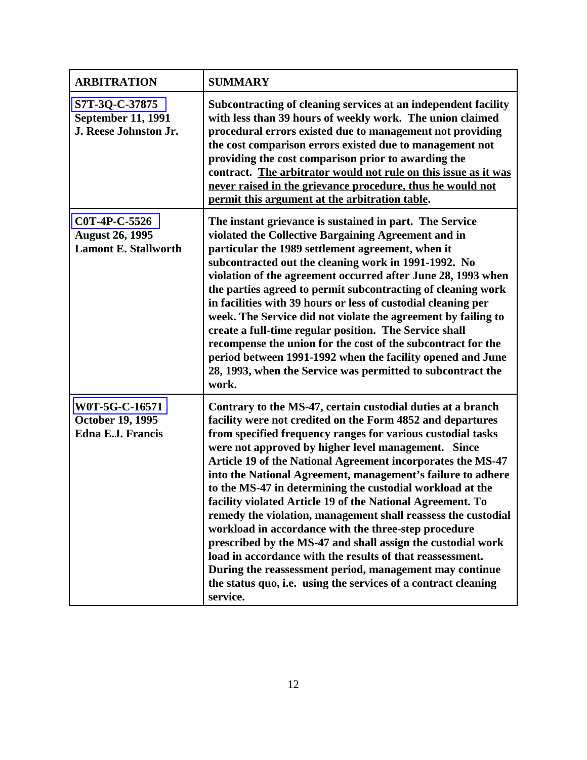| <b>ARBITRATION</b>                                                     | <b>SUMMARY</b>                                                                                                                                                                                                                                                                                                                                                                                                                                                                                                                                                                                                                                                                                                                                                                                                                                                                                         |
|------------------------------------------------------------------------|--------------------------------------------------------------------------------------------------------------------------------------------------------------------------------------------------------------------------------------------------------------------------------------------------------------------------------------------------------------------------------------------------------------------------------------------------------------------------------------------------------------------------------------------------------------------------------------------------------------------------------------------------------------------------------------------------------------------------------------------------------------------------------------------------------------------------------------------------------------------------------------------------------|
| S7T-3Q-C-37875<br><b>September 11, 1991</b><br>J. Reese Johnston Jr.   | Subcontracting of cleaning services at an independent facility<br>with less than 39 hours of weekly work. The union claimed<br>procedural errors existed due to management not providing<br>the cost comparison errors existed due to management not<br>providing the cost comparison prior to awarding the<br>contract. The arbitrator would not rule on this issue as it was<br>never raised in the grievance procedure, thus he would not<br>permit this argument at the arbitration table.                                                                                                                                                                                                                                                                                                                                                                                                         |
| C0T-4P-C-5526<br><b>August 26, 1995</b><br><b>Lamont E. Stallworth</b> | The instant grievance is sustained in part. The Service<br>violated the Collective Bargaining Agreement and in<br>particular the 1989 settlement agreement, when it<br>subcontracted out the cleaning work in 1991-1992. No<br>violation of the agreement occurred after June 28, 1993 when<br>the parties agreed to permit subcontracting of cleaning work<br>in facilities with 39 hours or less of custodial cleaning per<br>week. The Service did not violate the agreement by failing to<br>create a full-time regular position. The Service shall<br>recompense the union for the cost of the subcontract for the<br>period between 1991-1992 when the facility opened and June<br>28, 1993, when the Service was permitted to subcontract the<br>work.                                                                                                                                          |
| W0T-5G-C-16571<br><b>October 19, 1995</b><br><b>Edna E.J. Francis</b>  | Contrary to the MS-47, certain custodial duties at a branch<br>facility were not credited on the Form 4852 and departures<br>from specified frequency ranges for various custodial tasks<br>were not approved by higher level management. Since<br>Article 19 of the National Agreement incorporates the MS-47<br>into the National Agreement, management's failure to adhere<br>to the MS-47 in determining the custodial workload at the<br>facility violated Article 19 of the National Agreement. To<br>remedy the violation, management shall reassess the custodial<br>workload in accordance with the three-step procedure<br>prescribed by the MS-47 and shall assign the custodial work<br>load in accordance with the results of that reassessment.<br>During the reassessment period, management may continue<br>the status quo, i.e. using the services of a contract cleaning<br>service. |